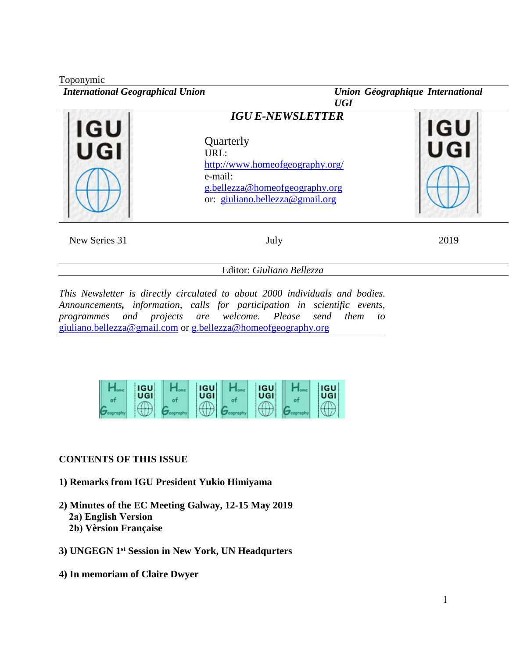| Toponymic<br><b>International Geographical Union</b> | <b>UGI</b>                                                                                                                                                      | Union Géographique International |  |  |  |  |
|------------------------------------------------------|-----------------------------------------------------------------------------------------------------------------------------------------------------------------|----------------------------------|--|--|--|--|
| IGU<br>JGI                                           | <b>IGU E-NEWSLETTER</b><br>Quarterly<br>URL:<br>http://www.homeofgeography.org/<br>e-mail:<br>g.bellezza@homeofgeography.org<br>or: giuliano.bellezza@gmail.org | <b>IGU</b>                       |  |  |  |  |
| New Series 31                                        | July                                                                                                                                                            | 2019                             |  |  |  |  |

Editor: *Giuliano Bellezza*

*This Newsletter is directly circulated to about 2000 individuals and bodies. Announcements, information, calls for participation in scientific events, programmes and projects are welcome. Please send them to* [giuliano.bellezza@gmail.com](mailto:giuliano.bellezza@gmail.com) or [g.bellezza@homeofgeography.org](mailto:g.bellezza@homeofgeography.org)

| <b>IGU</b><br>UGI | <b>IGU</b><br>UGI | <b>IGU</b><br>UGI | <b>IGU</b><br><b>UGI</b> |
|-------------------|-------------------|-------------------|--------------------------|
|                   |                   |                   |                          |
|                   |                   |                   |                          |

## **CONTENTS OF THIS ISSUE**

- **1) Remarks from IGU President Yukio Himiyama**
- **2) Minutes of the EC Meeting Galway, 12-15 May 2019 2a) English Version**
	- **2b) Vèrsion Française**
- **3) UNGEGN 1st Session in New York, UN Headqurters**
- **4) In memoriam of Claire Dwyer**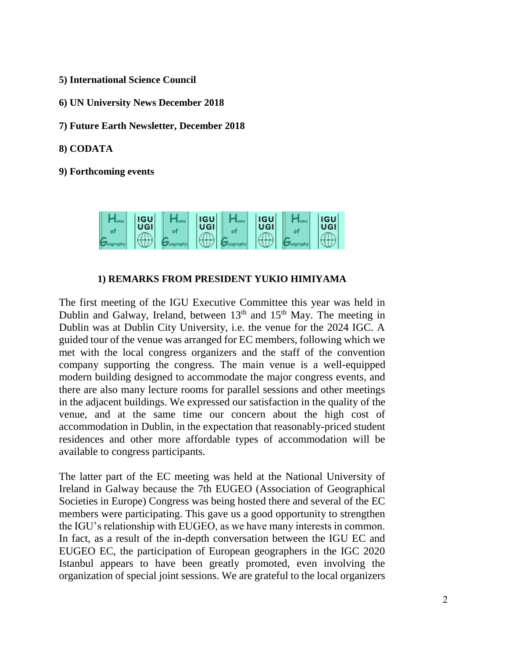- **5) International Science Council**
- **6) UN University News December 2018**
- **7) Future Earth Newsletter, December 2018**
- **8) CODATA**

**9) Forthcoming events**



## **1) REMARKS FROM PRESIDENT YUKIO HIMIYAMA**

The first meeting of the IGU Executive Committee this year was held in Dublin and Galway, Ireland, between  $13<sup>th</sup>$  and  $15<sup>th</sup>$  May. The meeting in Dublin was at Dublin City University, i.e. the venue for the 2024 IGC. A guided tour of the venue was arranged for EC members, following which we met with the local congress organizers and the staff of the convention company supporting the congress. The main venue is a well-equipped modern building designed to accommodate the major congress events, and there are also many lecture rooms for parallel sessions and other meetings in the adjacent buildings. We expressed our satisfaction in the quality of the venue, and at the same time our concern about the high cost of accommodation in Dublin, in the expectation that reasonably-priced student residences and other more affordable types of accommodation will be available to congress participants.

The latter part of the EC meeting was held at the National University of Ireland in Galway because the 7th EUGEO (Association of Geographical Societies in Europe) Congress was being hosted there and several of the EC members were participating. This gave us a good opportunity to strengthen the IGU's relationship with EUGEO, as we have many interests in common. In fact, as a result of the in-depth conversation between the IGU EC and EUGEO EC, the participation of European geographers in the IGC 2020 Istanbul appears to have been greatly promoted, even involving the organization of special joint sessions. We are grateful to the local organizers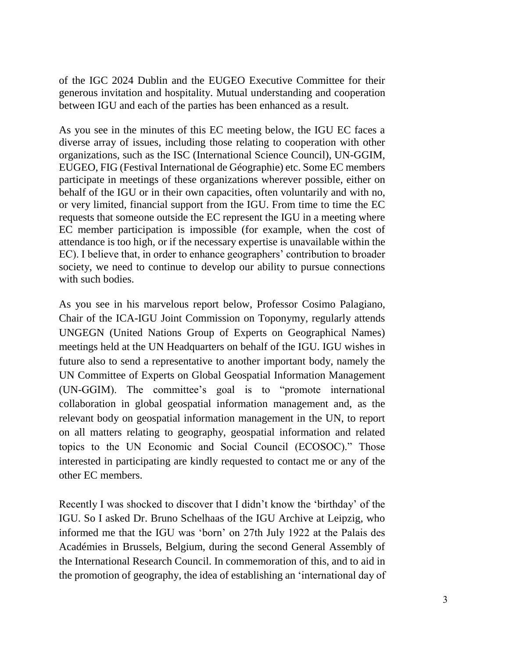of the IGC 2024 Dublin and the EUGEO Executive Committee for their generous invitation and hospitality. Mutual understanding and cooperation between IGU and each of the parties has been enhanced as a result.

As you see in the minutes of this EC meeting below, the IGU EC faces a diverse array of issues, including those relating to cooperation with other organizations, such as the ISC (International Science Council), UN-GGIM, EUGEO, FIG (Festival International de Géographie) etc. Some EC members participate in meetings of these organizations wherever possible, either on behalf of the IGU or in their own capacities, often voluntarily and with no, or very limited, financial support from the IGU. From time to time the EC requests that someone outside the EC represent the IGU in a meeting where EC member participation is impossible (for example, when the cost of attendance is too high, or if the necessary expertise is unavailable within the EC). I believe that, in order to enhance geographers' contribution to broader society, we need to continue to develop our ability to pursue connections with such bodies.

As you see in his marvelous report below, Professor Cosimo Palagiano, Chair of the ICA-IGU Joint Commission on Toponymy, regularly attends UNGEGN (United Nations Group of Experts on Geographical Names) meetings held at the UN Headquarters on behalf of the IGU. IGU wishes in future also to send a representative to another important body, namely the UN Committee of Experts on Global Geospatial Information Management (UN-GGIM). The committee's goal is to "promote international collaboration in global geospatial information management and, as the relevant body on geospatial information management in the UN, to report on all matters relating to geography, geospatial information and related topics to the UN Economic and Social Council (ECOSOC)." Those interested in participating are kindly requested to contact me or any of the other EC members.

Recently I was shocked to discover that I didn't know the 'birthday' of the IGU. So I asked Dr. Bruno Schelhaas of the IGU Archive at Leipzig, who informed me that the IGU was 'born' on 27th July 1922 at the Palais des Académies in Brussels, Belgium, during the second General Assembly of the International Research Council. In commemoration of this, and to aid in the promotion of geography, the idea of establishing an 'international day of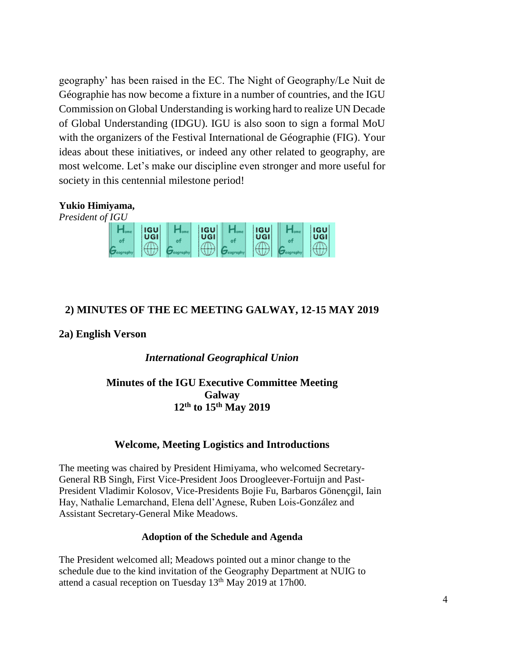geography' has been raised in the EC. The Night of Geography/Le Nuit de Géographie has now become a fixture in a number of countries, and the IGU Commission on Global Understanding is working hard to realize UN Decade of Global Understanding (IDGU). IGU is also soon to sign a formal MoU with the organizers of the Festival International de Géographie (FIG). Your ideas about these initiatives, or indeed any other related to geography, are most welcome. Let's make our discipline even stronger and more useful for society in this centennial milestone period!

## **Yukio Himiyama,**

*President of IGU*



## **2) MINUTES OF THE EC MEETING GALWAY, 12-15 MAY 2019**

#### **2a) English Verson**

#### *International Geographical Union*

## **Minutes of the IGU Executive Committee Meeting Galway 12th to 15th May 2019**

## **Welcome, Meeting Logistics and Introductions**

The meeting was chaired by President Himiyama, who welcomed Secretary-General RB Singh, First Vice-President Joos Droogleever-Fortuijn and Past-President Vladimir Kolosov, Vice-Presidents Bojie Fu, Barbaros Gönençgil, Iain Hay, Nathalie Lemarchand, Elena dell'Agnese, Ruben Lois-González and Assistant Secretary-General Mike Meadows.

#### **Adoption of the Schedule and Agenda**

The President welcomed all; Meadows pointed out a minor change to the schedule due to the kind invitation of the Geography Department at NUIG to attend a casual reception on Tuesday  $13<sup>th</sup>$  May 2019 at 17h00.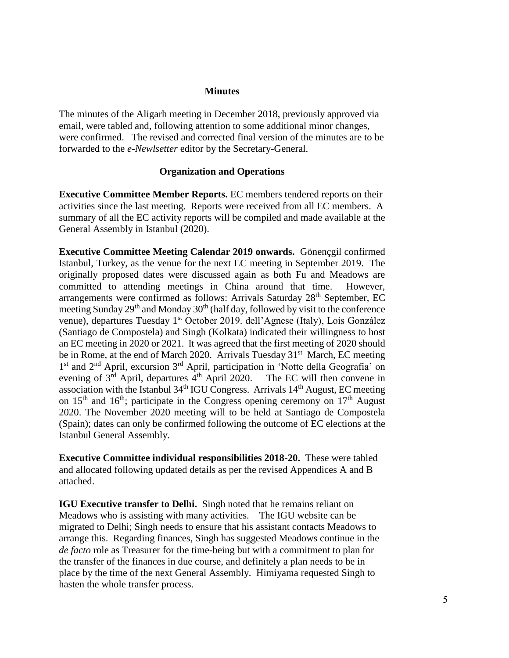#### **Minutes**

The minutes of the Aligarh meeting in December 2018, previously approved via email, were tabled and, following attention to some additional minor changes, were confirmed. The revised and corrected final version of the minutes are to be forwarded to the *e-Newlsetter* editor by the Secretary-General.

#### **Organization and Operations**

**Executive Committee Member Reports.** EC members tendered reports on their activities since the last meeting. Reports were received from all EC members. A summary of all the EC activity reports will be compiled and made available at the General Assembly in Istanbul (2020).

**Executive Committee Meeting Calendar 2019 onwards.** Gönençgil confirmed Istanbul, Turkey, as the venue for the next EC meeting in September 2019. The originally proposed dates were discussed again as both Fu and Meadows are committed to attending meetings in China around that time. However, arrangements were confirmed as follows: Arrivals Saturday 28<sup>th</sup> September, EC meeting Sunday 29<sup>th</sup> and Monday 30<sup>th</sup> (half day, followed by visit to the conference venue), departures Tuesday 1<sup>st</sup> October 2019. dell'Agnese (Italy), Lois González (Santiago de Compostela) and Singh (Kolkata) indicated their willingness to host an EC meeting in 2020 or 2021. It was agreed that the first meeting of 2020 should be in Rome, at the end of March 2020. Arrivals Tuesday 31<sup>st</sup> March, EC meeting 1<sup>st</sup> and 2<sup>nd</sup> April, excursion 3<sup>rd</sup> April, participation in 'Notte della Geografia' on evening of  $3<sup>rd</sup>$  April, departures  $4<sup>th</sup>$  April 2020. The EC will then convene in association with the Istanbul  $34<sup>th</sup>$  IGU Congress. Arrivals  $14<sup>th</sup>$  August, EC meeting on  $15<sup>th</sup>$  and  $16<sup>th</sup>$ ; participate in the Congress opening ceremony on  $17<sup>th</sup>$  August 2020. The November 2020 meeting will to be held at Santiago de Compostela (Spain); dates can only be confirmed following the outcome of EC elections at the Istanbul General Assembly.

**Executive Committee individual responsibilities 2018-20.** These were tabled and allocated following updated details as per the revised Appendices A and B attached.

**IGU Executive transfer to Delhi.** Singh noted that he remains reliant on Meadows who is assisting with many activities. The IGU website can be migrated to Delhi; Singh needs to ensure that his assistant contacts Meadows to arrange this. Regarding finances, Singh has suggested Meadows continue in the *de facto* role as Treasurer for the time-being but with a commitment to plan for the transfer of the finances in due course, and definitely a plan needs to be in place by the time of the next General Assembly. Himiyama requested Singh to hasten the whole transfer process.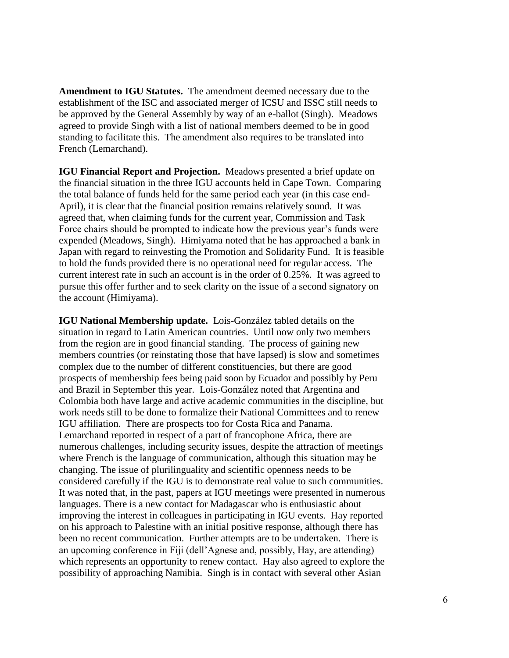**Amendment to IGU Statutes.** The amendment deemed necessary due to the establishment of the ISC and associated merger of ICSU and ISSC still needs to be approved by the General Assembly by way of an e-ballot (Singh). Meadows agreed to provide Singh with a list of national members deemed to be in good standing to facilitate this. The amendment also requires to be translated into French (Lemarchand).

**IGU Financial Report and Projection.** Meadows presented a brief update on the financial situation in the three IGU accounts held in Cape Town. Comparing the total balance of funds held for the same period each year (in this case end-April), it is clear that the financial position remains relatively sound. It was agreed that, when claiming funds for the current year, Commission and Task Force chairs should be prompted to indicate how the previous year's funds were expended (Meadows, Singh). Himiyama noted that he has approached a bank in Japan with regard to reinvesting the Promotion and Solidarity Fund. It is feasible to hold the funds provided there is no operational need for regular access. The current interest rate in such an account is in the order of 0.25%. It was agreed to pursue this offer further and to seek clarity on the issue of a second signatory on the account (Himiyama).

**IGU National Membership update.** Lois-González tabled details on the situation in regard to Latin American countries. Until now only two members from the region are in good financial standing. The process of gaining new members countries (or reinstating those that have lapsed) is slow and sometimes complex due to the number of different constituencies, but there are good prospects of membership fees being paid soon by Ecuador and possibly by Peru and Brazil in September this year. Lois-González noted that Argentina and Colombia both have large and active academic communities in the discipline, but work needs still to be done to formalize their National Committees and to renew IGU affiliation. There are prospects too for Costa Rica and Panama. Lemarchand reported in respect of a part of francophone Africa, there are numerous challenges, including security issues, despite the attraction of meetings where French is the language of communication, although this situation may be changing. The issue of plurilinguality and scientific openness needs to be considered carefully if the IGU is to demonstrate real value to such communities. It was noted that, in the past, papers at IGU meetings were presented in numerous languages. There is a new contact for Madagascar who is enthusiastic about improving the interest in colleagues in participating in IGU events. Hay reported on his approach to Palestine with an initial positive response, although there has been no recent communication. Further attempts are to be undertaken. There is an upcoming conference in Fiji (dell'Agnese and, possibly, Hay, are attending) which represents an opportunity to renew contact. Hay also agreed to explore the possibility of approaching Namibia. Singh is in contact with several other Asian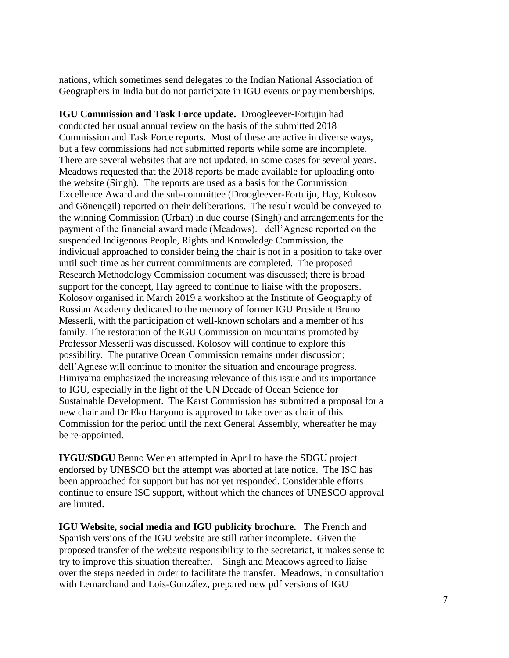nations, which sometimes send delegates to the Indian National Association of Geographers in India but do not participate in IGU events or pay memberships.

**IGU Commission and Task Force update.** Droogleever-Fortujin had conducted her usual annual review on the basis of the submitted 2018 Commission and Task Force reports. Most of these are active in diverse ways, but a few commissions had not submitted reports while some are incomplete. There are several websites that are not updated, in some cases for several years. Meadows requested that the 2018 reports be made available for uploading onto the website (Singh). The reports are used as a basis for the Commission Excellence Award and the sub-committee (Droogleever-Fortuijn, Hay, Kolosov and Gönençgil) reported on their deliberations. The result would be conveyed to the winning Commission (Urban) in due course (Singh) and arrangements for the payment of the financial award made (Meadows). dell'Agnese reported on the suspended Indigenous People, Rights and Knowledge Commission, the individual approached to consider being the chair is not in a position to take over until such time as her current commitments are completed. The proposed Research Methodology Commission document was discussed; there is broad support for the concept, Hay agreed to continue to liaise with the proposers. Kolosov organised in March 2019 a workshop at the Institute of Geography of Russian Academy dedicated to the memory of former IGU President Bruno Messerli, with the participation of well-known scholars and a member of his family. The restoration of the IGU Commission on mountains promoted by Professor Messerli was discussed. Kolosov will continue to explore this possibility. The putative Ocean Commission remains under discussion; dell'Agnese will continue to monitor the situation and encourage progress. Himiyama emphasized the increasing relevance of this issue and its importance to IGU, especially in the light of the UN Decade of Ocean Science for Sustainable Development. The Karst Commission has submitted a proposal for a new chair and Dr Eko Haryono is approved to take over as chair of this Commission for the period until the next General Assembly, whereafter he may be re-appointed.

**IYGU**/**SDGU** Benno Werlen attempted in April to have the SDGU project endorsed by UNESCO but the attempt was aborted at late notice. The ISC has been approached for support but has not yet responded. Considerable efforts continue to ensure ISC support, without which the chances of UNESCO approval are limited.

**IGU Website, social media and IGU publicity brochure.** The French and Spanish versions of the IGU website are still rather incomplete. Given the proposed transfer of the website responsibility to the secretariat, it makes sense to try to improve this situation thereafter. Singh and Meadows agreed to liaise over the steps needed in order to facilitate the transfer. Meadows, in consultation with Lemarchand and Lois-González, prepared new pdf versions of IGU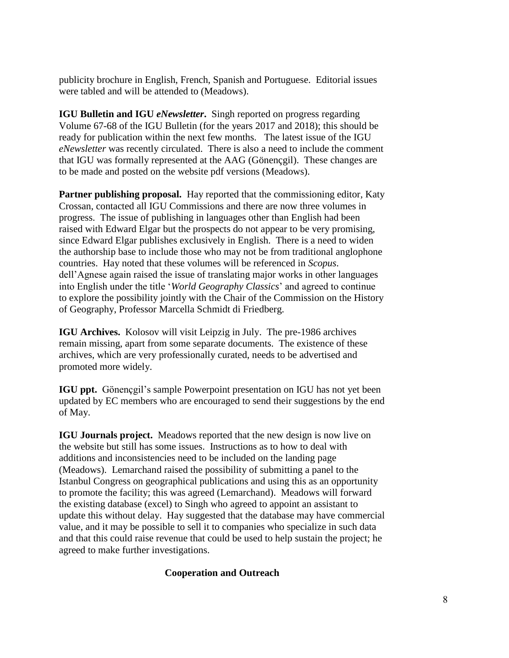publicity brochure in English, French, Spanish and Portuguese. Editorial issues were tabled and will be attended to (Meadows).

**IGU Bulletin and IGU** *eNewsletter***.** Singh reported on progress regarding Volume 67-68 of the IGU Bulletin (for the years 2017 and 2018); this should be ready for publication within the next few months. The latest issue of the IGU *eNewsletter* was recently circulated. There is also a need to include the comment that IGU was formally represented at the AAG (Gönençgil). These changes are to be made and posted on the website pdf versions (Meadows).

**Partner publishing proposal.** Hay reported that the commissioning editor, Katy Crossan, contacted all IGU Commissions and there are now three volumes in progress. The issue of publishing in languages other than English had been raised with Edward Elgar but the prospects do not appear to be very promising, since Edward Elgar publishes exclusively in English. There is a need to widen the authorship base to include those who may not be from traditional anglophone countries. Hay noted that these volumes will be referenced in *Scopus*. dell'Agnese again raised the issue of translating major works in other languages into English under the title '*World Geography Classics*' and agreed to continue to explore the possibility jointly with the Chair of the Commission on the History of Geography, Professor Marcella Schmidt di Friedberg.

**IGU Archives.** Kolosov will visit Leipzig in July. The pre-1986 archives remain missing, apart from some separate documents. The existence of these archives, which are very professionally curated, needs to be advertised and promoted more widely.

**IGU ppt.** Gönencgil's sample Powerpoint presentation on IGU has not yet been updated by EC members who are encouraged to send their suggestions by the end of May.

**IGU Journals project.** Meadows reported that the new design is now live on the website but still has some issues. Instructions as to how to deal with additions and inconsistencies need to be included on the landing page (Meadows). Lemarchand raised the possibility of submitting a panel to the Istanbul Congress on geographical publications and using this as an opportunity to promote the facility; this was agreed (Lemarchand). Meadows will forward the existing database (excel) to Singh who agreed to appoint an assistant to update this without delay. Hay suggested that the database may have commercial value, and it may be possible to sell it to companies who specialize in such data and that this could raise revenue that could be used to help sustain the project; he agreed to make further investigations.

#### **Cooperation and Outreach**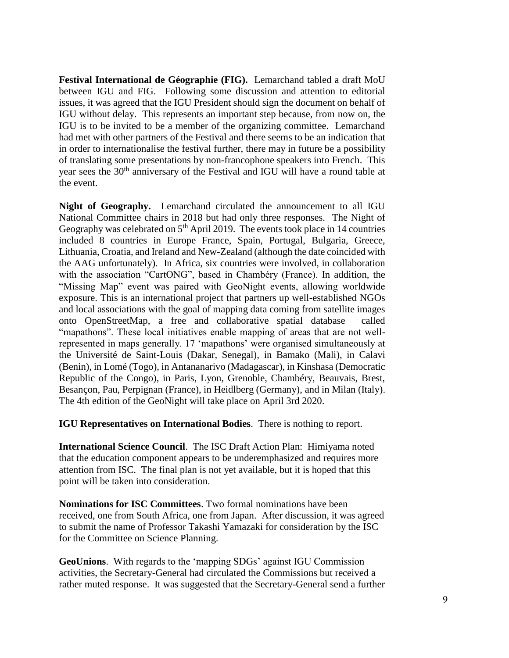**Festival International de Géographie (FIG).** Lemarchand tabled a draft MoU between IGU and FIG. Following some discussion and attention to editorial issues, it was agreed that the IGU President should sign the document on behalf of IGU without delay. This represents an important step because, from now on, the IGU is to be invited to be a member of the organizing committee. Lemarchand had met with other partners of the Festival and there seems to be an indication that in order to internationalise the festival further, there may in future be a possibility of translating some presentations by non-francophone speakers into French. This year sees the 30<sup>th</sup> anniversary of the Festival and IGU will have a round table at the event.

**Night of Geography.** Lemarchand circulated the announcement to all IGU National Committee chairs in 2018 but had only three responses. The Night of Geography was celebrated on 5<sup>th</sup> April 2019. The events took place in 14 countries included 8 countries in Europe France, Spain, Portugal, Bulgaria, Greece, Lithuania, Croatia, and Ireland and New-Zealand (although the date coincided with the AAG unfortunately). In Africa, six countries were involved, in collaboration with the association "CartONG", based in Chambéry (France). In addition, the "Missing Map" event was paired with GeoNight events, allowing worldwide exposure. This is an international project that partners up well-established NGOs and local associations with the goal of mapping data coming from satellite images onto OpenStreetMap, a free and collaborative spatial database called "mapathons". These local initiatives enable mapping of areas that are not wellrepresented in maps generally. 17 'mapathons' were organised simultaneously at the Université de Saint-Louis (Dakar, Senegal), in Bamako (Mali), in Calavi (Benin), in Lomé (Togo), in Antananarivo (Madagascar), in Kinshasa (Democratic Republic of the Congo), in Paris, Lyon, Grenoble, Chambéry, Beauvais, Brest, Besançon, Pau, Perpignan (France), in Heidlberg (Germany), and in Milan (Italy). The 4th edition of the GeoNight will take place on April 3rd 2020.

**IGU Representatives on International Bodies**. There is nothing to report.

**International Science Council**. The ISC Draft Action Plan: Himiyama noted that the education component appears to be underemphasized and requires more attention from ISC. The final plan is not yet available, but it is hoped that this point will be taken into consideration.

**Nominations for ISC Committees**. Two formal nominations have been received, one from South Africa, one from Japan. After discussion, it was agreed to submit the name of Professor Takashi Yamazaki for consideration by the ISC for the Committee on Science Planning.

**GeoUnions**. With regards to the 'mapping SDGs' against IGU Commission activities, the Secretary-General had circulated the Commissions but received a rather muted response. It was suggested that the Secretary-General send a further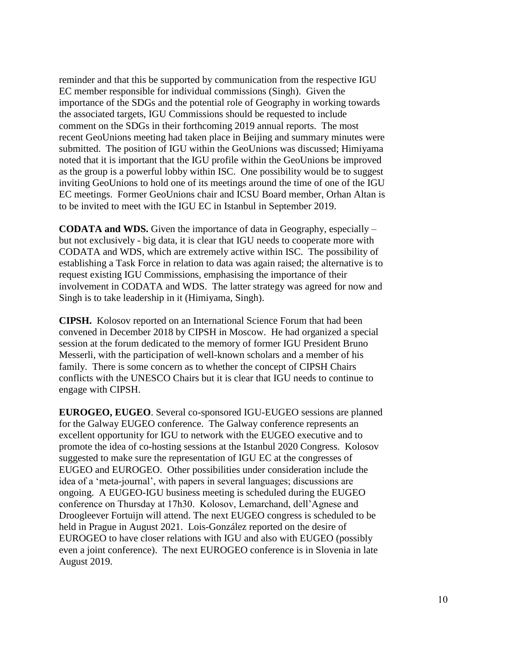reminder and that this be supported by communication from the respective IGU EC member responsible for individual commissions (Singh). Given the importance of the SDGs and the potential role of Geography in working towards the associated targets, IGU Commissions should be requested to include comment on the SDGs in their forthcoming 2019 annual reports. The most recent GeoUnions meeting had taken place in Beijing and summary minutes were submitted. The position of IGU within the GeoUnions was discussed; Himiyama noted that it is important that the IGU profile within the GeoUnions be improved as the group is a powerful lobby within ISC. One possibility would be to suggest inviting GeoUnions to hold one of its meetings around the time of one of the IGU EC meetings. Former GeoUnions chair and ICSU Board member, Orhan Altan is to be invited to meet with the IGU EC in Istanbul in September 2019.

**CODATA and WDS.** Given the importance of data in Geography, especially – but not exclusively - big data, it is clear that IGU needs to cooperate more with CODATA and WDS, which are extremely active within ISC. The possibility of establishing a Task Force in relation to data was again raised; the alternative is to request existing IGU Commissions, emphasising the importance of their involvement in CODATA and WDS. The latter strategy was agreed for now and Singh is to take leadership in it (Himiyama, Singh).

**CIPSH.** Kolosov reported on an International Science Forum that had been convened in December 2018 by CIPSH in Moscow. He had organized a special session at the forum dedicated to the memory of former IGU President Bruno Messerli, with the participation of well-known scholars and a member of his family. There is some concern as to whether the concept of CIPSH Chairs conflicts with the UNESCO Chairs but it is clear that IGU needs to continue to engage with CIPSH.

**EUROGEO, EUGEO**. Several co-sponsored IGU-EUGEO sessions are planned for the Galway EUGEO conference. The Galway conference represents an excellent opportunity for IGU to network with the EUGEO executive and to promote the idea of co-hosting sessions at the Istanbul 2020 Congress. Kolosov suggested to make sure the representation of IGU EC at the congresses of EUGEO and EUROGEO. Other possibilities under consideration include the idea of a 'meta-journal', with papers in several languages; discussions are ongoing. A EUGEO-IGU business meeting is scheduled during the EUGEO conference on Thursday at 17h30. Kolosov, Lemarchand, dell'Agnese and Droogleever Fortuijn will attend. The next EUGEO congress is scheduled to be held in Prague in August 2021. Lois-González reported on the desire of EUROGEO to have closer relations with IGU and also with EUGEO (possibly even a joint conference). The next EUROGEO conference is in Slovenia in late August 2019.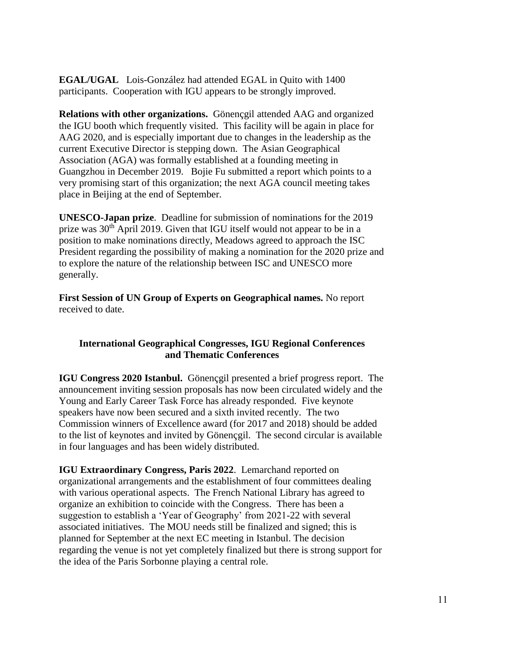**EGAL/UGAL** Lois-González had attended EGAL in Quito with 1400 participants. Cooperation with IGU appears to be strongly improved.

**Relations with other organizations.** Gönençgil attended AAG and organized the IGU booth which frequently visited. This facility will be again in place for AAG 2020, and is especially important due to changes in the leadership as the current Executive Director is stepping down. The Asian Geographical Association (AGA) was formally established at a founding meeting in Guangzhou in December 2019. Bojie Fu submitted a report which points to a very promising start of this organization; the next AGA council meeting takes place in Beijing at the end of September.

**UNESCO-Japan prize**. Deadline for submission of nominations for the 2019 prize was 30<sup>th</sup> April 2019. Given that IGU itself would not appear to be in a position to make nominations directly, Meadows agreed to approach the ISC President regarding the possibility of making a nomination for the 2020 prize and to explore the nature of the relationship between ISC and UNESCO more generally.

**First Session of UN Group of Experts on Geographical names.** No report received to date.

## **International Geographical Congresses, IGU Regional Conferences and Thematic Conferences**

**IGU Congress 2020 Istanbul.** Gönençgil presented a brief progress report. The announcement inviting session proposals has now been circulated widely and the Young and Early Career Task Force has already responded. Five keynote speakers have now been secured and a sixth invited recently. The two Commission winners of Excellence award (for 2017 and 2018) should be added to the list of keynotes and invited by Gönençgil. The second circular is available in four languages and has been widely distributed.

**IGU Extraordinary Congress, Paris 2022**. Lemarchand reported on organizational arrangements and the establishment of four committees dealing with various operational aspects. The French National Library has agreed to organize an exhibition to coincide with the Congress. There has been a suggestion to establish a 'Year of Geography' from 2021-22 with several associated initiatives. The MOU needs still be finalized and signed; this is planned for September at the next EC meeting in Istanbul. The decision regarding the venue is not yet completely finalized but there is strong support for the idea of the Paris Sorbonne playing a central role.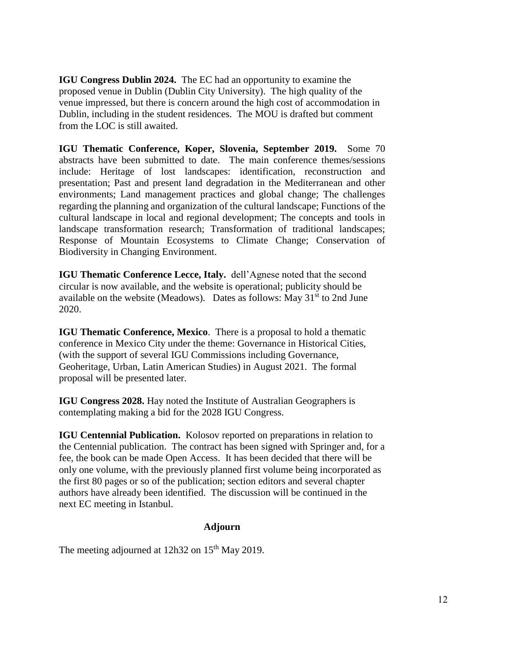**IGU Congress Dublin 2024.** The EC had an opportunity to examine the proposed venue in Dublin (Dublin City University). The high quality of the venue impressed, but there is concern around the high cost of accommodation in Dublin, including in the student residences. The MOU is drafted but comment from the LOC is still awaited.

**IGU Thematic Conference, Koper, Slovenia, September 2019.** Some 70 abstracts have been submitted to date. The main conference themes/sessions include: Heritage of lost landscapes: identification, reconstruction and presentation; Past and present land degradation in the Mediterranean and other environments; Land management practices and global change; The challenges regarding the planning and organization of the cultural landscape; Functions of the cultural landscape in local and regional development; The concepts and tools in landscape transformation research; Transformation of traditional landscapes; Response of Mountain Ecosystems to Climate Change; Conservation of Biodiversity in Changing Environment.

**IGU Thematic Conference Lecce, Italy.** dell'Agnese noted that the second circular is now available, and the website is operational; publicity should be available on the website (Meadows). Dates as follows: May  $31<sup>st</sup>$  to 2nd June 2020.

**IGU Thematic Conference, Mexico**. There is a proposal to hold a thematic conference in Mexico City under the theme: Governance in Historical Cities, (with the support of several IGU Commissions including Governance, Geoheritage, Urban, Latin American Studies) in August 2021. The formal proposal will be presented later.

**IGU Congress 2028.** Hay noted the Institute of Australian Geographers is contemplating making a bid for the 2028 IGU Congress.

**IGU Centennial Publication.** Kolosov reported on preparations in relation to the Centennial publication. The contract has been signed with Springer and, for a fee, the book can be made Open Access. It has been decided that there will be only one volume, with the previously planned first volume being incorporated as the first 80 pages or so of the publication; section editors and several chapter authors have already been identified. The discussion will be continued in the next EC meeting in Istanbul.

#### **Adjourn**

The meeting adjourned at  $12h32$  on  $15<sup>th</sup>$  May 2019.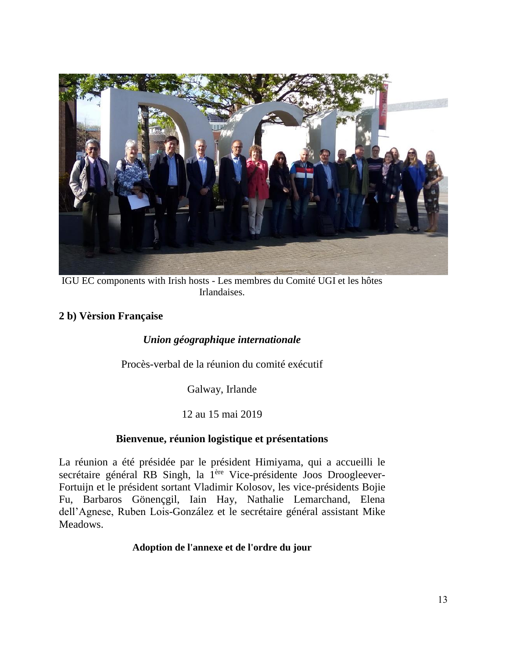

IGU EC components with Irish hosts - Les membres du Comité UGI et les hôtes Irlandaises.

## **2 b) Vèrsion Française**

## *Union géographique internationale*

Procès-verbal de la réunion du comité exécutif

Galway, Irlande

## 12 au 15 mai 2019

## **Bienvenue, réunion logistique et présentations**

La réunion a été présidée par le président Himiyama, qui a accueilli le secrétaire général RB Singh, la 1<sup>ère</sup> Vice-présidente Joos Droogleever-Fortuijn et le président sortant Vladimir Kolosov, les vice-présidents Bojie Fu, Barbaros Gönençgil, Iain Hay, Nathalie Lemarchand, Elena dell'Agnese, Ruben Lois-González et le secrétaire général assistant Mike Meadows.

## **Adoption de l'annexe et de l'ordre du jour**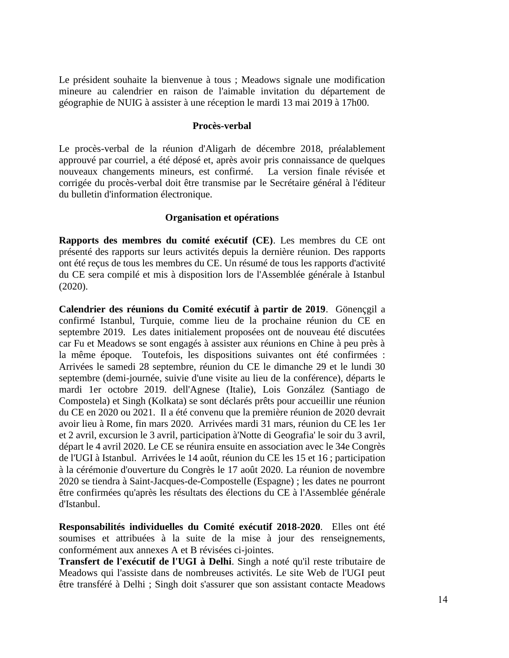Le président souhaite la bienvenue à tous ; Meadows signale une modification mineure au calendrier en raison de l'aimable invitation du département de géographie de NUIG à assister à une réception le mardi 13 mai 2019 à 17h00.

#### **Procès-verbal**

Le procès-verbal de la réunion d'Aligarh de décembre 2018, préalablement approuvé par courriel, a été déposé et, après avoir pris connaissance de quelques nouveaux changements mineurs, est confirmé. La version finale révisée et corrigée du procès-verbal doit être transmise par le Secrétaire général à l'éditeur du bulletin d'information électronique.

#### **Organisation et opérations**

**Rapports des membres du comité exécutif (CE)**. Les membres du CE ont présenté des rapports sur leurs activités depuis la dernière réunion. Des rapports ont été reçus de tous les membres du CE. Un résumé de tous les rapports d'activité du CE sera compilé et mis à disposition lors de l'Assemblée générale à Istanbul (2020).

**Calendrier des réunions du Comité exécutif à partir de 2019**. Gönençgil a confirmé Istanbul, Turquie, comme lieu de la prochaine réunion du CE en septembre 2019. Les dates initialement proposées ont de nouveau été discutées car Fu et Meadows se sont engagés à assister aux réunions en Chine à peu près à la même époque. Toutefois, les dispositions suivantes ont été confirmées : Arrivées le samedi 28 septembre, réunion du CE le dimanche 29 et le lundi 30 septembre (demi-journée, suivie d'une visite au lieu de la conférence), départs le mardi 1er octobre 2019. dell'Agnese (Italie), Lois González (Santiago de Compostela) et Singh (Kolkata) se sont déclarés prêts pour accueillir une réunion du CE en 2020 ou 2021. Il a été convenu que la première réunion de 2020 devrait avoir lieu à Rome, fin mars 2020. Arrivées mardi 31 mars, réunion du CE les 1er et 2 avril, excursion le 3 avril, participation à'Notte di Geografia' le soir du 3 avril, départ le 4 avril 2020. Le CE se réunira ensuite en association avec le 34e Congrès de l'UGI à Istanbul. Arrivées le 14 août, réunion du CE les 15 et 16 ; participation à la cérémonie d'ouverture du Congrès le 17 août 2020. La réunion de novembre 2020 se tiendra à Saint-Jacques-de-Compostelle (Espagne) ; les dates ne pourront être confirmées qu'après les résultats des élections du CE à l'Assemblée générale d'Istanbul.

**Responsabilités individuelles du Comité exécutif 2018-2020**. Elles ont été soumises et attribuées à la suite de la mise à jour des renseignements, conformément aux annexes A et B révisées ci-jointes.

**Transfert de l'exécutif de l'UGI à Delhi**. Singh a noté qu'il reste tributaire de Meadows qui l'assiste dans de nombreuses activités. Le site Web de l'UGI peut être transféré à Delhi ; Singh doit s'assurer que son assistant contacte Meadows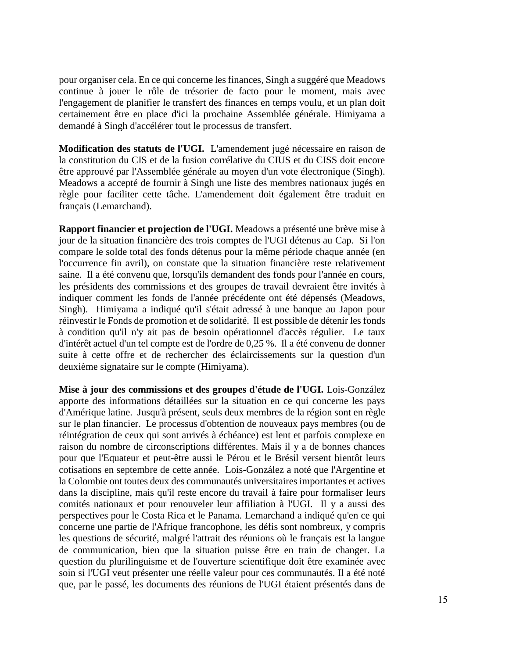pour organiser cela. En ce qui concerne les finances, Singh a suggéré que Meadows continue à jouer le rôle de trésorier de facto pour le moment, mais avec l'engagement de planifier le transfert des finances en temps voulu, et un plan doit certainement être en place d'ici la prochaine Assemblée générale. Himiyama a demandé à Singh d'accélérer tout le processus de transfert.

**Modification des statuts de l'UGI.** L'amendement jugé nécessaire en raison de la constitution du CIS et de la fusion corrélative du CIUS et du CISS doit encore être approuvé par l'Assemblée générale au moyen d'un vote électronique (Singh). Meadows a accepté de fournir à Singh une liste des membres nationaux jugés en règle pour faciliter cette tâche. L'amendement doit également être traduit en français (Lemarchand).

**Rapport financier et projection de l'UGI.** Meadows a présenté une brève mise à jour de la situation financière des trois comptes de l'UGI détenus au Cap. Si l'on compare le solde total des fonds détenus pour la même période chaque année (en l'occurrence fin avril), on constate que la situation financière reste relativement saine. Il a été convenu que, lorsqu'ils demandent des fonds pour l'année en cours, les présidents des commissions et des groupes de travail devraient être invités à indiquer comment les fonds de l'année précédente ont été dépensés (Meadows, Singh). Himiyama a indiqué qu'il s'était adressé à une banque au Japon pour réinvestir le Fonds de promotion et de solidarité. Il est possible de détenir les fonds à condition qu'il n'y ait pas de besoin opérationnel d'accès régulier. Le taux d'intérêt actuel d'un tel compte est de l'ordre de 0,25 %. Il a été convenu de donner suite à cette offre et de rechercher des éclaircissements sur la question d'un deuxième signataire sur le compte (Himiyama).

**Mise à jour des commissions et des groupes d'étude de l'UGI.** Lois-González apporte des informations détaillées sur la situation en ce qui concerne les pays d'Amérique latine. Jusqu'à présent, seuls deux membres de la région sont en règle sur le plan financier. Le processus d'obtention de nouveaux pays membres (ou de réintégration de ceux qui sont arrivés à échéance) est lent et parfois complexe en raison du nombre de circonscriptions différentes. Mais il y a de bonnes chances pour que l'Equateur et peut-être aussi le Pérou et le Brésil versent bientôt leurs cotisations en septembre de cette année. Lois-González a noté que l'Argentine et la Colombie ont toutes deux des communautés universitaires importantes et actives dans la discipline, mais qu'il reste encore du travail à faire pour formaliser leurs comités nationaux et pour renouveler leur affiliation à l'UGI. Il y a aussi des perspectives pour le Costa Rica et le Panama. Lemarchand a indiqué qu'en ce qui concerne une partie de l'Afrique francophone, les défis sont nombreux, y compris les questions de sécurité, malgré l'attrait des réunions où le français est la langue de communication, bien que la situation puisse être en train de changer. La question du plurilinguisme et de l'ouverture scientifique doit être examinée avec soin si l'UGI veut présenter une réelle valeur pour ces communautés. Il a été noté que, par le passé, les documents des réunions de l'UGI étaient présentés dans de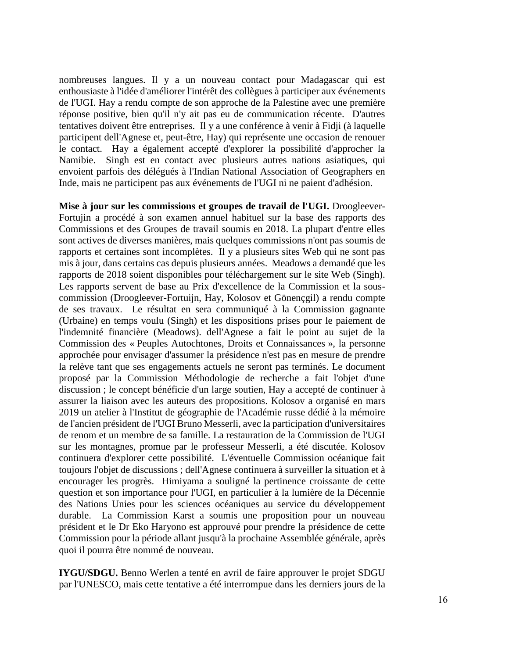nombreuses langues. Il y a un nouveau contact pour Madagascar qui est enthousiaste à l'idée d'améliorer l'intérêt des collègues à participer aux événements de l'UGI. Hay a rendu compte de son approche de la Palestine avec une première réponse positive, bien qu'il n'y ait pas eu de communication récente. D'autres tentatives doivent être entreprises. Il y a une conférence à venir à Fidji (à laquelle participent dell'Agnese et, peut-être, Hay) qui représente une occasion de renouer le contact. Hay a également accepté d'explorer la possibilité d'approcher la Namibie. Singh est en contact avec plusieurs autres nations asiatiques, qui envoient parfois des délégués à l'Indian National Association of Geographers en Inde, mais ne participent pas aux événements de l'UGI ni ne paient d'adhésion.

**Mise à jour sur les commissions et groupes de travail de l'UGI.** Droogleever-Fortujin a procédé à son examen annuel habituel sur la base des rapports des Commissions et des Groupes de travail soumis en 2018. La plupart d'entre elles sont actives de diverses manières, mais quelques commissions n'ont pas soumis de rapports et certaines sont incomplètes. Il y a plusieurs sites Web qui ne sont pas mis à jour, dans certains cas depuis plusieurs années. Meadows a demandé que les rapports de 2018 soient disponibles pour téléchargement sur le site Web (Singh). Les rapports servent de base au Prix d'excellence de la Commission et la souscommission (Droogleever-Fortuijn, Hay, Kolosov et Gönençgil) a rendu compte de ses travaux. Le résultat en sera communiqué à la Commission gagnante (Urbaine) en temps voulu (Singh) et les dispositions prises pour le paiement de l'indemnité financière (Meadows). dell'Agnese a fait le point au sujet de la Commission des « Peuples Autochtones, Droits et Connaissances », la personne approchée pour envisager d'assumer la présidence n'est pas en mesure de prendre la relève tant que ses engagements actuels ne seront pas terminés. Le document proposé par la Commission Méthodologie de recherche a fait l'objet d'une discussion ; le concept bénéficie d'un large soutien, Hay a accepté de continuer à assurer la liaison avec les auteurs des propositions. Kolosov a organisé en mars 2019 un atelier à l'Institut de géographie de l'Académie russe dédié à la mémoire de l'ancien président de l'UGI Bruno Messerli, avec la participation d'universitaires de renom et un membre de sa famille. La restauration de la Commission de l'UGI sur les montagnes, promue par le professeur Messerli, a été discutée. Kolosov continuera d'explorer cette possibilité. L'éventuelle Commission océanique fait toujours l'objet de discussions ; dell'Agnese continuera à surveiller la situation et à encourager les progrès. Himiyama a souligné la pertinence croissante de cette question et son importance pour l'UGI, en particulier à la lumière de la Décennie des Nations Unies pour les sciences océaniques au service du développement durable. La Commission Karst a soumis une proposition pour un nouveau président et le Dr Eko Haryono est approuvé pour prendre la présidence de cette Commission pour la période allant jusqu'à la prochaine Assemblée générale, après quoi il pourra être nommé de nouveau.

**IYGU/SDGU.** Benno Werlen a tenté en avril de faire approuver le projet SDGU par l'UNESCO, mais cette tentative a été interrompue dans les derniers jours de la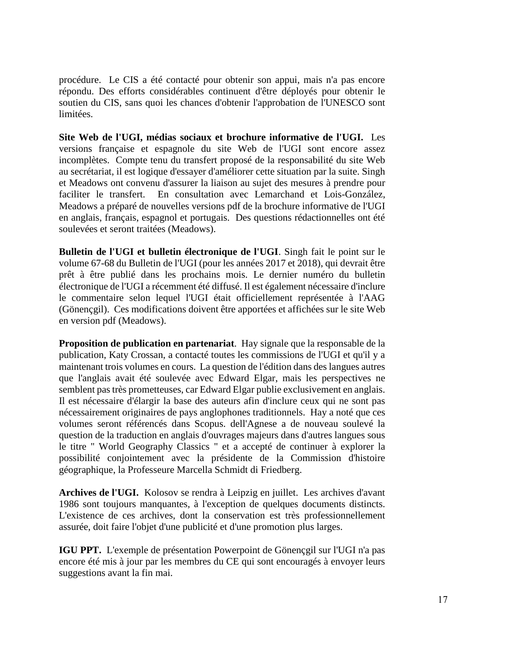procédure. Le CIS a été contacté pour obtenir son appui, mais n'a pas encore répondu. Des efforts considérables continuent d'être déployés pour obtenir le soutien du CIS, sans quoi les chances d'obtenir l'approbation de l'UNESCO sont limitées.

**Site Web de l'UGI, médias sociaux et brochure informative de l'UGI.** Les versions française et espagnole du site Web de l'UGI sont encore assez incomplètes. Compte tenu du transfert proposé de la responsabilité du site Web au secrétariat, il est logique d'essayer d'améliorer cette situation par la suite. Singh et Meadows ont convenu d'assurer la liaison au sujet des mesures à prendre pour faciliter le transfert. En consultation avec Lemarchand et Lois-González, Meadows a préparé de nouvelles versions pdf de la brochure informative de l'UGI en anglais, français, espagnol et portugais. Des questions rédactionnelles ont été soulevées et seront traitées (Meadows).

**Bulletin de l'UGI et bulletin électronique de l'UGI**. Singh fait le point sur le volume 67-68 du Bulletin de l'UGI (pour les années 2017 et 2018), qui devrait être prêt à être publié dans les prochains mois. Le dernier numéro du bulletin électronique de l'UGI a récemment été diffusé. Il est également nécessaire d'inclure le commentaire selon lequel l'UGI était officiellement représentée à l'AAG (Gönençgil). Ces modifications doivent être apportées et affichées sur le site Web en version pdf (Meadows).

**Proposition de publication en partenariat**. Hay signale que la responsable de la publication, Katy Crossan, a contacté toutes les commissions de l'UGI et qu'il y a maintenant trois volumes en cours. La question de l'édition dans des langues autres que l'anglais avait été soulevée avec Edward Elgar, mais les perspectives ne semblent pas très prometteuses, car Edward Elgar publie exclusivement en anglais. Il est nécessaire d'élargir la base des auteurs afin d'inclure ceux qui ne sont pas nécessairement originaires de pays anglophones traditionnels. Hay a noté que ces volumes seront référencés dans Scopus. dell'Agnese a de nouveau soulevé la question de la traduction en anglais d'ouvrages majeurs dans d'autres langues sous le titre " World Geography Classics " et a accepté de continuer à explorer la possibilité conjointement avec la présidente de la Commission d'histoire géographique, la Professeure Marcella Schmidt di Friedberg.

**Archives de l'UGI.** Kolosov se rendra à Leipzig en juillet. Les archives d'avant 1986 sont toujours manquantes, à l'exception de quelques documents distincts. L'existence de ces archives, dont la conservation est très professionnellement assurée, doit faire l'objet d'une publicité et d'une promotion plus larges.

**IGU PPT.** L'exemple de présentation Powerpoint de Gönençgil sur l'UGI n'a pas encore été mis à jour par les membres du CE qui sont encouragés à envoyer leurs suggestions avant la fin mai.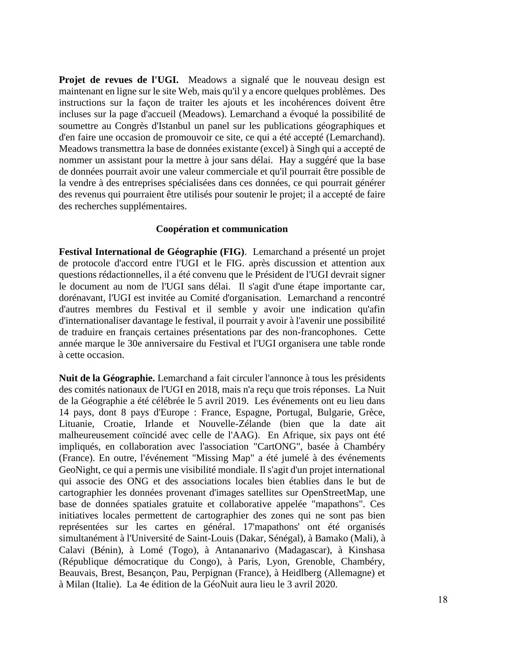**Projet de revues de l'UGI.** Meadows a signalé que le nouveau design est maintenant en ligne sur le site Web, mais qu'il y a encore quelques problèmes. Des instructions sur la façon de traiter les ajouts et les incohérences doivent être incluses sur la page d'accueil (Meadows). Lemarchand a évoqué la possibilité de soumettre au Congrès d'Istanbul un panel sur les publications géographiques et d'en faire une occasion de promouvoir ce site, ce qui a été accepté (Lemarchand). Meadows transmettra la base de données existante (excel) à Singh qui a accepté de nommer un assistant pour la mettre à jour sans délai. Hay a suggéré que la base de données pourrait avoir une valeur commerciale et qu'il pourrait être possible de la vendre à des entreprises spécialisées dans ces données, ce qui pourrait générer des revenus qui pourraient être utilisés pour soutenir le projet; il a accepté de faire des recherches supplémentaires.

#### **Coopération et communication**

**Festival International de Géographie (FIG)**. Lemarchand a présenté un projet de protocole d'accord entre l'UGI et le FIG. après discussion et attention aux questions rédactionnelles, il a été convenu que le Président de l'UGI devrait signer le document au nom de l'UGI sans délai. Il s'agit d'une étape importante car, dorénavant, l'UGI est invitée au Comité d'organisation. Lemarchand a rencontré d'autres membres du Festival et il semble y avoir une indication qu'afin d'internationaliser davantage le festival, il pourrait y avoir à l'avenir une possibilité de traduire en français certaines présentations par des non-francophones. Cette année marque le 30e anniversaire du Festival et l'UGI organisera une table ronde à cette occasion.

**Nuit de la Géographie.** Lemarchand a fait circuler l'annonce à tous les présidents des comités nationaux de l'UGI en 2018, mais n'a reçu que trois réponses. La Nuit de la Géographie a été célébrée le 5 avril 2019. Les événements ont eu lieu dans 14 pays, dont 8 pays d'Europe : France, Espagne, Portugal, Bulgarie, Grèce, Lituanie, Croatie, Irlande et Nouvelle-Zélande (bien que la date ait malheureusement coïncidé avec celle de l'AAG). En Afrique, six pays ont été impliqués, en collaboration avec l'association "CartONG", basée à Chambéry (France). En outre, l'événement "Missing Map" a été jumelé à des événements GeoNight, ce qui a permis une visibilité mondiale. Il s'agit d'un projet international qui associe des ONG et des associations locales bien établies dans le but de cartographier les données provenant d'images satellites sur OpenStreetMap, une base de données spatiales gratuite et collaborative appelée "mapathons". Ces initiatives locales permettent de cartographier des zones qui ne sont pas bien représentées sur les cartes en général. 17'mapathons' ont été organisés simultanément à l'Université de Saint-Louis (Dakar, Sénégal), à Bamako (Mali), à Calavi (Bénin), à Lomé (Togo), à Antananarivo (Madagascar), à Kinshasa (République démocratique du Congo), à Paris, Lyon, Grenoble, Chambéry, Beauvais, Brest, Besançon, Pau, Perpignan (France), à Heidlberg (Allemagne) et à Milan (Italie). La 4e édition de la GéoNuit aura lieu le 3 avril 2020.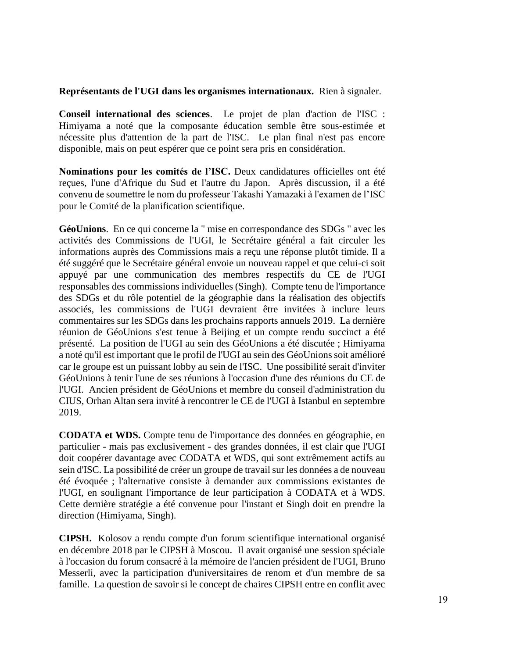#### **Représentants de l'UGI dans les organismes internationaux.** Rien à signaler.

**Conseil international des sciences**. Le projet de plan d'action de l'ISC : Himiyama a noté que la composante éducation semble être sous-estimée et nécessite plus d'attention de la part de l'ISC. Le plan final n'est pas encore disponible, mais on peut espérer que ce point sera pris en considération.

**Nominations pour les comités de l'ISC.** Deux candidatures officielles ont été reçues, l'une d'Afrique du Sud et l'autre du Japon. Après discussion, il a été convenu de soumettre le nom du professeur Takashi Yamazaki à l'examen de l'ISC pour le Comité de la planification scientifique.

**GéoUnions**. En ce qui concerne la " mise en correspondance des SDGs " avec les activités des Commissions de l'UGI, le Secrétaire général a fait circuler les informations auprès des Commissions mais a reçu une réponse plutôt timide. Il a été suggéré que le Secrétaire général envoie un nouveau rappel et que celui-ci soit appuyé par une communication des membres respectifs du CE de l'UGI responsables des commissions individuelles (Singh). Compte tenu de l'importance des SDGs et du rôle potentiel de la géographie dans la réalisation des objectifs associés, les commissions de l'UGI devraient être invitées à inclure leurs commentaires sur les SDGs dans les prochains rapports annuels 2019. La dernière réunion de GéoUnions s'est tenue à Beijing et un compte rendu succinct a été présenté. La position de l'UGI au sein des GéoUnions a été discutée ; Himiyama a noté qu'il est important que le profil de l'UGI au sein des GéoUnions soit amélioré car le groupe est un puissant lobby au sein de l'ISC. Une possibilité serait d'inviter GéoUnions à tenir l'une de ses réunions à l'occasion d'une des réunions du CE de l'UGI. Ancien président de GéoUnions et membre du conseil d'administration du CIUS, Orhan Altan sera invité à rencontrer le CE de l'UGI à Istanbul en septembre 2019.

**CODATA et WDS.** Compte tenu de l'importance des données en géographie, en particulier - mais pas exclusivement - des grandes données, il est clair que l'UGI doit coopérer davantage avec CODATA et WDS, qui sont extrêmement actifs au sein d'ISC. La possibilité de créer un groupe de travail sur les données a de nouveau été évoquée ; l'alternative consiste à demander aux commissions existantes de l'UGI, en soulignant l'importance de leur participation à CODATA et à WDS. Cette dernière stratégie a été convenue pour l'instant et Singh doit en prendre la direction (Himiyama, Singh).

**CIPSH.** Kolosov a rendu compte d'un forum scientifique international organisé en décembre 2018 par le CIPSH à Moscou. Il avait organisé une session spéciale à l'occasion du forum consacré à la mémoire de l'ancien président de l'UGI, Bruno Messerli, avec la participation d'universitaires de renom et d'un membre de sa famille. La question de savoir si le concept de chaires CIPSH entre en conflit avec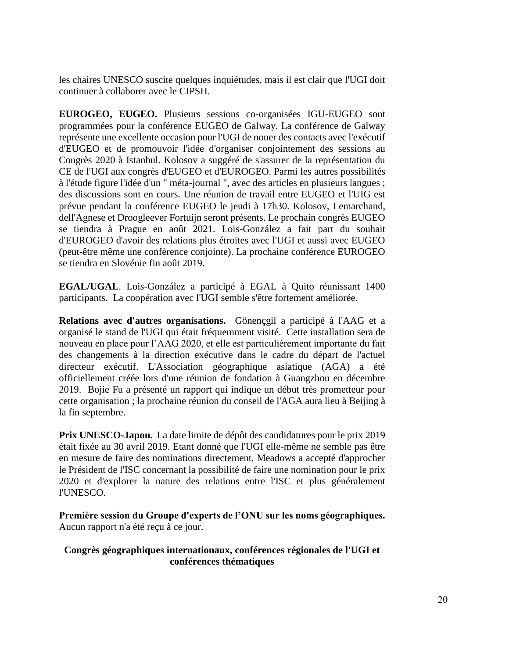les chaires UNESCO suscite quelques inquiétudes, mais il est clair que l'UGI doit continuer à collaborer avec le CIPSH.

**EUROGEO, EUGEO.** Plusieurs sessions co-organisées IGU-EUGEO sont programmées pour la conférence EUGEO de Galway. La conférence de Galway représente une excellente occasion pour l'UGI de nouer des contacts avec l'exécutif d'EUGEO et de promouvoir l'idée d'organiser conjointement des sessions au Congrès 2020 à Istanbul. Kolosov a suggéré de s'assurer de la représentation du CE de l'UGI aux congrès d'EUGEO et d'EUROGEO. Parmi les autres possibilités à l'étude figure l'idée d'un " méta-journal ", avec des articles en plusieurs langues ; des discussions sont en cours. Une réunion de travail entre EUGEO et l'UIG est prévue pendant la conférence EUGEO le jeudi à 17h30. Kolosov, Lemarchand, dell'Agnese et Droogleever Fortuijn seront présents. Le prochain congrès EUGEO se tiendra à Prague en août 2021. Lois-González a fait part du souhait d'EUROGEO d'avoir des relations plus étroites avec l'UGI et aussi avec EUGEO (peut-être même une conférence conjointe). La prochaine conférence EUROGEO se tiendra en Slovénie fin août 2019.

**EGAL/UGAL**. Lois-González a participé à EGAL à Quito réunissant 1400 participants. La coopération avec l'UGI semble s'être fortement améliorée.

**Relations avec d'autres organisations.** Gönençgil a participé à l'AAG et a organisé le stand de l'UGI qui était fréquemment visité. Cette installation sera de nouveau en place pour l'AAG 2020, et elle est particulièrement importante du fait des changements à la direction exécutive dans le cadre du départ de l'actuel directeur exécutif. L'Association géographique asiatique (AGA) a été officiellement créée lors d'une réunion de fondation à Guangzhou en décembre 2019. Bojie Fu a présenté un rapport qui indique un début très prometteur pour cette organisation ; la prochaine réunion du conseil de l'AGA aura lieu à Beijing à la fin septembre.

**Prix UNESCO-Japon.** La date limite de dépôt des candidatures pour le prix 2019 était fixée au 30 avril 2019. Etant donné que l'UGI elle-même ne semble pas être en mesure de faire des nominations directement, Meadows a accepté d'approcher le Président de l'ISC concernant la possibilité de faire une nomination pour le prix 2020 et d'explorer la nature des relations entre l'ISC et plus généralement l'UNESCO.

**Première session du Groupe d'experts de l'ONU sur les noms géographiques.**  Aucun rapport n'a été reçu à ce jour.

#### **Congrès géographiques internationaux, conférences régionales de l'UGI et conférences thématiques**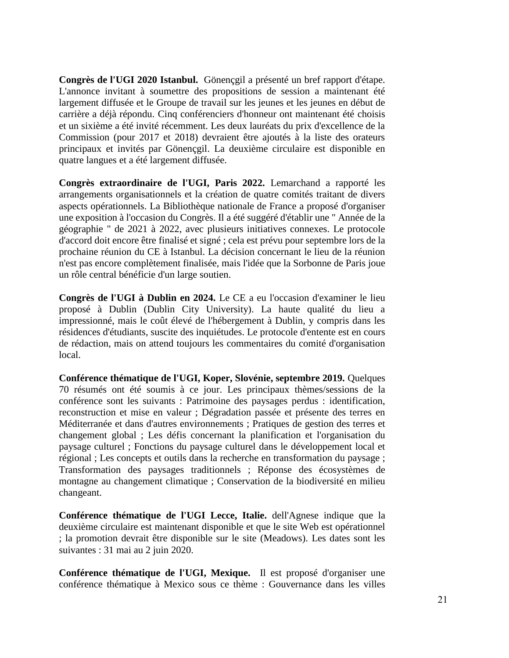**Congrès de l'UGI 2020 Istanbul.** Gönençgil a présenté un bref rapport d'étape. L'annonce invitant à soumettre des propositions de session a maintenant été largement diffusée et le Groupe de travail sur les jeunes et les jeunes en début de carrière a déjà répondu. Cinq conférenciers d'honneur ont maintenant été choisis et un sixième a été invité récemment. Les deux lauréats du prix d'excellence de la Commission (pour 2017 et 2018) devraient être ajoutés à la liste des orateurs principaux et invités par Gönençgil. La deuxième circulaire est disponible en quatre langues et a été largement diffusée.

**Congrès extraordinaire de l'UGI, Paris 2022.** Lemarchand a rapporté les arrangements organisationnels et la création de quatre comités traitant de divers aspects opérationnels. La Bibliothèque nationale de France a proposé d'organiser une exposition à l'occasion du Congrès. Il a été suggéré d'établir une " Année de la géographie " de 2021 à 2022, avec plusieurs initiatives connexes. Le protocole d'accord doit encore être finalisé et signé ; cela est prévu pour septembre lors de la prochaine réunion du CE à Istanbul. La décision concernant le lieu de la réunion n'est pas encore complètement finalisée, mais l'idée que la Sorbonne de Paris joue un rôle central bénéficie d'un large soutien.

**Congrès de l'UGI à Dublin en 2024.** Le CE a eu l'occasion d'examiner le lieu proposé à Dublin (Dublin City University). La haute qualité du lieu a impressionné, mais le coût élevé de l'hébergement à Dublin, y compris dans les résidences d'étudiants, suscite des inquiétudes. Le protocole d'entente est en cours de rédaction, mais on attend toujours les commentaires du comité d'organisation local.

**Conférence thématique de l'UGI, Koper, Slovénie, septembre 2019.** Quelques 70 résumés ont été soumis à ce jour. Les principaux thèmes/sessions de la conférence sont les suivants : Patrimoine des paysages perdus : identification, reconstruction et mise en valeur ; Dégradation passée et présente des terres en Méditerranée et dans d'autres environnements ; Pratiques de gestion des terres et changement global ; Les défis concernant la planification et l'organisation du paysage culturel ; Fonctions du paysage culturel dans le développement local et régional ; Les concepts et outils dans la recherche en transformation du paysage ; Transformation des paysages traditionnels ; Réponse des écosystèmes de montagne au changement climatique ; Conservation de la biodiversité en milieu changeant.

**Conférence thématique de l'UGI Lecce, Italie.** dell'Agnese indique que la deuxième circulaire est maintenant disponible et que le site Web est opérationnel ; la promotion devrait être disponible sur le site (Meadows). Les dates sont les suivantes : 31 mai au 2 juin 2020.

**Conférence thématique de l'UGI, Mexique.** Il est proposé d'organiser une conférence thématique à Mexico sous ce thème : Gouvernance dans les villes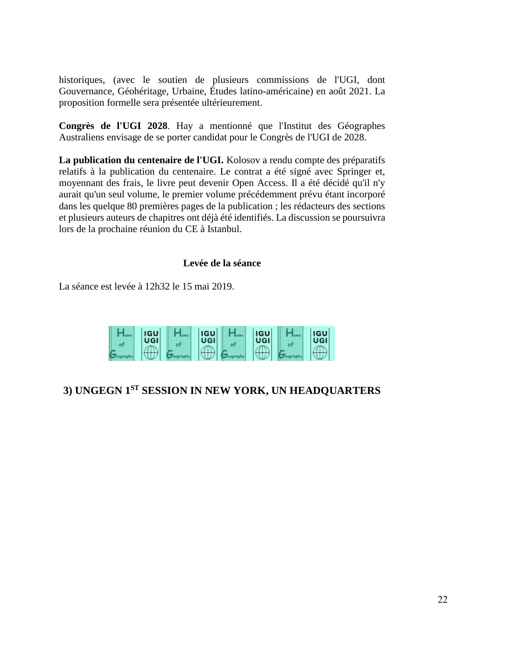historiques, (avec le soutien de plusieurs commissions de l'UGI, dont Gouvernance, Géohéritage, Urbaine, Études latino-américaine) en août 2021. La proposition formelle sera présentée ultérieurement.

**Congrès de l'UGI 2028**. Hay a mentionné que l'Institut des Géographes Australiens envisage de se porter candidat pour le Congrès de l'UGI de 2028.

**La publication du centenaire de l'UGI.** Kolosov a rendu compte des préparatifs relatifs à la publication du centenaire. Le contrat a été signé avec Springer et, moyennant des frais, le livre peut devenir Open Access. Il a été décidé qu'il n'y aurait qu'un seul volume, le premier volume précédemment prévu étant incorporé dans les quelque 80 premières pages de la publication ; les rédacteurs des sections et plusieurs auteurs de chapitres ont déjà été identifiés. La discussion se poursuivra lors de la prochaine réunion du CE à Istanbul.

#### **Levée de la séance**

La séance est levée à 12h32 le 15 mai 2019.

| <b>IGU</b><br>UGI | <b>IGU</b><br>UGI | <b>IGU</b><br>UGI | <b>IGU</b><br>UGI |
|-------------------|-------------------|-------------------|-------------------|
|                   |                   |                   |                   |

## **3) UNGEGN 1 ST SESSION IN NEW YORK, UN HEADQUARTERS**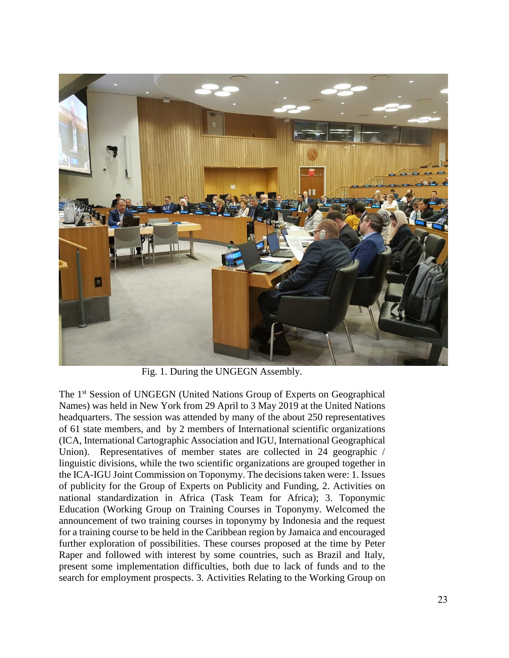

Fig. 1. During the UNGEGN Assembly.

The 1st Session of UNGEGN (United Nations Group of Experts on Geographical Names) was held in New York from 29 April to 3 May 2019 at the United Nations headquarters. The session was attended by many of the about 250 representatives of 61 state members, and by 2 members of International scientific organizations (ICA, International Cartographic Association and IGU, International Geographical Union). Representatives of member states are collected in 24 geographic / linguistic divisions, while the two scientific organizations are grouped together in the ICA-IGU Joint Commission on Toponymy. The decisions taken were: 1. Issues of publicity for the Group of Experts on Publicity and Funding, 2. Activities on national standardization in Africa (Task Team for Africa); 3. Toponymic Education (Working Group on Training Courses in Toponymy. Welcomed the announcement of two training courses in toponymy by Indonesia and the request for a training course to be held in the Caribbean region by Jamaica and encouraged further exploration of possibilities. These courses proposed at the time by Peter Raper and followed with interest by some countries, such as Brazil and Italy, present some implementation difficulties, both due to lack of funds and to the search for employment prospects. 3. Activities Relating to the Working Group on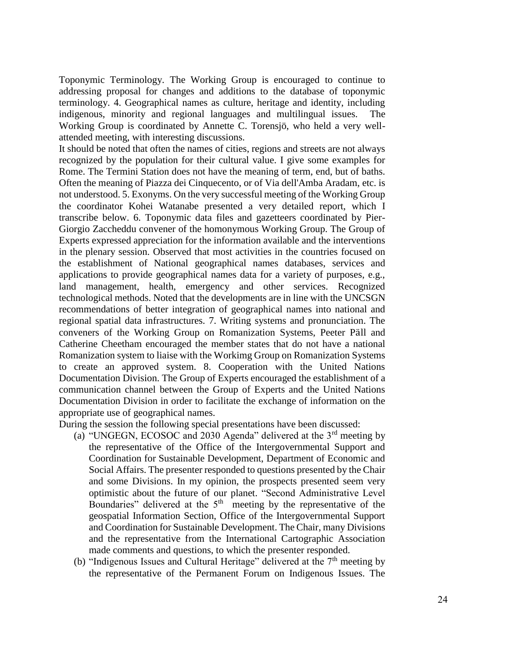Toponymic Terminology. The Working Group is encouraged to continue to addressing proposal for changes and additions to the database of toponymic terminology. 4. Geographical names as culture, heritage and identity, including indigenous, minority and regional languages and multilingual issues. The Working Group is coordinated by Annette C. Torensjö, who held a very wellattended meeting, with interesting discussions.

It should be noted that often the names of cities, regions and streets are not always recognized by the population for their cultural value. I give some examples for Rome. The Termini Station does not have the meaning of term, end, but of baths. Often the meaning of Piazza dei Cinquecento, or of Via dell'Amba Aradam, etc. is not understood. 5. Exonyms. On the very successful meeting of the Working Group the coordinator Kohei Watanabe presented a very detailed report, which I transcribe below. 6. Toponymic data files and gazetteers coordinated by Pier-Giorgio Zaccheddu convener of the homonymous Working Group. The Group of Experts expressed appreciation for the information available and the interventions in the plenary session. Observed that most activities in the countries focused on the establishment of National geographical names databases, services and applications to provide geographical names data for a variety of purposes, e.g., land management, health, emergency and other services. Recognized technological methods. Noted that the developments are in line with the UNCSGN recommendations of better integration of geographical names into national and regional spatial data infrastructures. 7. Writing systems and pronunciation. The conveners of the Working Group on Romanization Systems, Peeter Päll and Catherine Cheetham encouraged the member states that do not have a national Romanization system to liaise with the Workimg Group on Romanization Systems to create an approved system. 8. Cooperation with the United Nations Documentation Division. The Group of Experts encouraged the establishment of a communication channel between the Group of Experts and the United Nations Documentation Division in order to facilitate the exchange of information on the appropriate use of geographical names.

During the session the following special presentations have been discussed:

- (a) "UNGEGN, ECOSOC and 2030 Agenda" delivered at the  $3<sup>rd</sup>$  meeting by the representative of the Office of the Intergovernmental Support and Coordination for Sustainable Development, Department of Economic and Social Affairs. The presenter responded to questions presented by the Chair and some Divisions. In my opinion, the prospects presented seem very optimistic about the future of our planet. "Second Administrative Level Boundaries" delivered at the  $5<sup>th</sup>$  meeting by the representative of the geospatial Information Section, Office of the Intergovernmental Support and Coordination for Sustainable Development. The Chair, many Divisions and the representative from the International Cartographic Association made comments and questions, to which the presenter responded.
- (b) "Indigenous Issues and Cultural Heritage" delivered at the  $7<sup>th</sup>$  meeting by the representative of the Permanent Forum on Indigenous Issues. The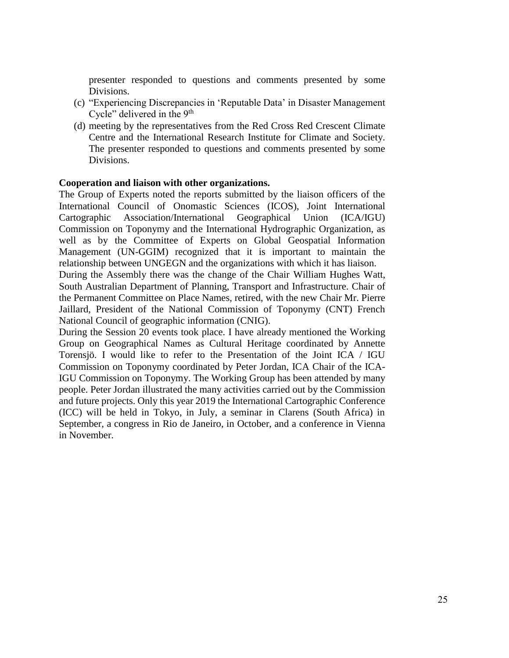presenter responded to questions and comments presented by some Divisions.

- (c) "Experiencing Discrepancies in 'Reputable Data' in Disaster Management Cycle" delivered in the 9<sup>th</sup>
- (d) meeting by the representatives from the Red Cross Red Crescent Climate Centre and the International Research Institute for Climate and Society. The presenter responded to questions and comments presented by some Divisions.

#### **Cooperation and liaison with other organizations.**

The Group of Experts noted the reports submitted by the liaison officers of the International Council of Onomastic Sciences (ICOS), Joint International Cartographic Association/International Geographical Union (ICA/IGU) Commission on Toponymy and the International Hydrographic Organization, as well as by the Committee of Experts on Global Geospatial Information Management (UN-GGIM) recognized that it is important to maintain the relationship between UNGEGN and the organizations with which it has liaison.

During the Assembly there was the change of the Chair William Hughes Watt, South Australian Department of Planning, Transport and Infrastructure. Chair of the Permanent Committee on Place Names, retired, with the new Chair Mr. Pierre Jaillard, President of the National Commission of Toponymy (CNT) French National Council of geographic information (CNIG).

During the Session 20 events took place. I have already mentioned the Working Group on Geographical Names as Cultural Heritage coordinated by Annette Torensjö. I would like to refer to the Presentation of the Joint ICA / IGU Commission on Toponymy coordinated by Peter Jordan, ICA Chair of the ICA-IGU Commission on Toponymy. The Working Group has been attended by many people. Peter Jordan illustrated the many activities carried out by the Commission and future projects. Only this year 2019 the International Cartographic Conference (ICC) will be held in Tokyo, in July, a seminar in Clarens (South Africa) in September, a congress in Rio de Janeiro, in October, and a conference in Vienna in November.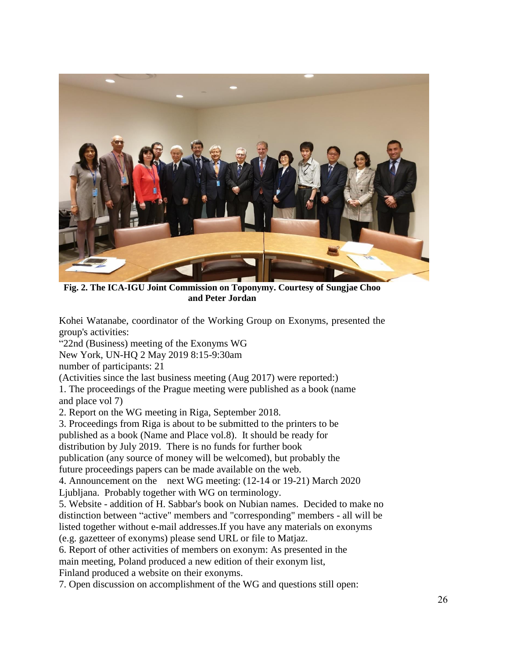

**Fig. 2. The ICA-IGU Joint Commission on Toponymy. Courtesy of Sungjae Choo and Peter Jordan**

Kohei Watanabe, coordinator of the Working Group on Exonyms, presented the group's activities:

"22nd (Business) meeting of the Exonyms WG

New York, UN-HQ 2 May 2019 8:15-9:30am

number of participants: 21

(Activities since the last business meeting (Aug 2017) were reported:)

1. The proceedings of the Prague meeting were published as a book (name and place vol 7)

2. Report on the WG meeting in Riga, September 2018.

3. Proceedings from Riga is about to be submitted to the printers to be

published as a book (Name and Place vol.8). It should be ready for

distribution by July 2019. There is no funds for further book

publication (any source of money will be welcomed), but probably the

future proceedings papers can be made available on the web.

4. Announcement on the next WG meeting: (12-14 or 19-21) March 2020

Ljubljana. Probably together with WG on terminology.

5. Website - addition of H. Sabbar's book on Nubian names. Decided to make no distinction between "active" members and "corresponding" members - all will be listed together without e-mail addresses.If you have any materials on exonyms (e.g. gazetteer of exonyms) please send URL or file to Matjaz.

6. Report of other activities of members on exonym: As presented in the

main meeting, Poland produced a new edition of their exonym list,

Finland produced a website on their exonyms.

7. Open discussion on accomplishment of the WG and questions still open: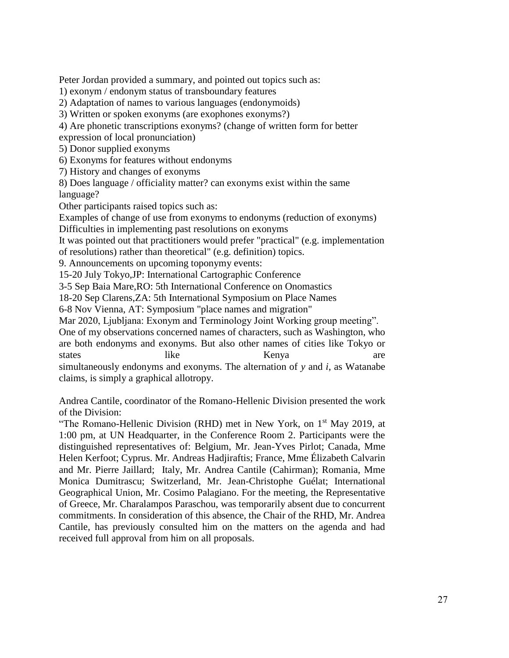Peter Jordan provided a summary, and pointed out topics such as: 1) exonym / endonym status of transboundary features 2) Adaptation of names to various languages (endonymoids) 3) Written or spoken exonyms (are exophones exonyms?) 4) Are phonetic transcriptions exonyms? (change of written form for better expression of local pronunciation) 5) Donor supplied exonyms 6) Exonyms for features without endonyms 7) History and changes of exonyms 8) Does language / officiality matter? can exonyms exist within the same language? Other participants raised topics such as: Examples of change of use from exonyms to endonyms (reduction of exonyms) Difficulties in implementing past resolutions on exonyms It was pointed out that practitioners would prefer "practical" (e.g. implementation of resolutions) rather than theoretical" (e.g. definition) topics. 9. Announcements on upcoming toponymy events: 15-20 July Tokyo,JP: International Cartographic Conference 3-5 Sep Baia Mare,RO: 5th International Conference on Onomastics 18-20 Sep Clarens,ZA: 5th International Symposium on Place Names 6-8 Nov Vienna, AT: Symposium "place names and migration" Mar 2020, Ljubljana: Exonym and Terminology Joint Working group meeting". One of my observations concerned names of characters, such as Washington, who are both endonyms and exonyms. But also other names of cities like Tokyo or states like like Kenya are simultaneously endonyms and exonyms. The alternation of *y* and *i*, as Watanabe claims, is simply a graphical allotropy. Andrea Cantile, coordinator of the Romano-Hellenic Division presented the work of the Division: "The Romano-Hellenic Division (RHD) met in New York, on 1<sup>st</sup> May 2019, at 1:00 pm, at UN Headquarter, in the Conference Room 2. Participants were the

distinguished representatives of: Belgium, Mr. Jean-Yves Pirlot; Canada, Mme Helen Kerfoot; Cyprus. Mr. Andreas Hadjiraftis; France, Mme Élizabeth Calvarin and Mr. Pierre Jaillard; Italy, Mr. Andrea Cantile (Cahirman); Romania, Mme Monica Dumitrascu; Switzerland, Mr. Jean-Christophe Guélat; International Geographical Union, Mr. Cosimo Palagiano. For the meeting, the Representative of Greece, Mr. Charalampos Paraschou, was temporarily absent due to concurrent commitments. In consideration of this absence, the Chair of the RHD, Mr. Andrea Cantile, has previously consulted him on the matters on the agenda and had received full approval from him on all proposals.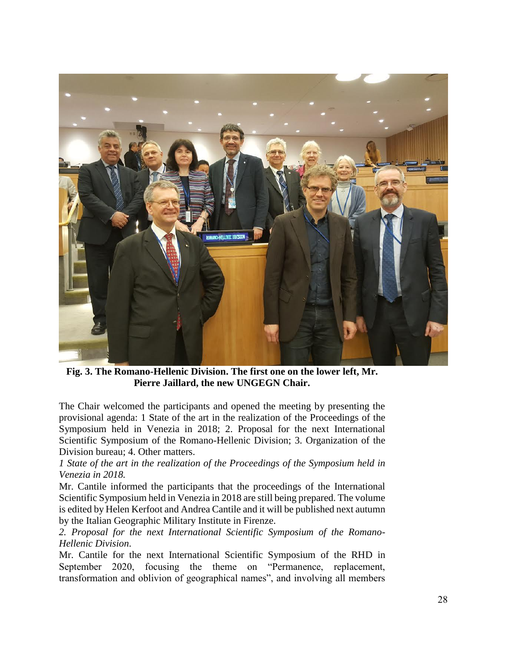

**Fig. 3. The Romano-Hellenic Division. The first one on the lower left, Mr. Pierre Jaillard, the new UNGEGN Chair.**

The Chair welcomed the participants and opened the meeting by presenting the provisional agenda: 1 State of the art in the realization of the Proceedings of the Symposium held in Venezia in 2018; 2. Proposal for the next International Scientific Symposium of the Romano-Hellenic Division; 3. Organization of the Division bureau; 4. Other matters.

*1 State of the art in the realization of the Proceedings of the Symposium held in Venezia in 2018.*

Mr. Cantile informed the participants that the proceedings of the International Scientific Symposium held in Venezia in 2018 are still being prepared. The volume is edited by Helen Kerfoot and Andrea Cantile and it will be published next autumn by the Italian Geographic Military Institute in Firenze.

*2. Proposal for the next International Scientific Symposium of the Romano-Hellenic Division*.

Mr. Cantile for the next International Scientific Symposium of the RHD in September 2020, focusing the theme on "Permanence, replacement, transformation and oblivion of geographical names", and involving all members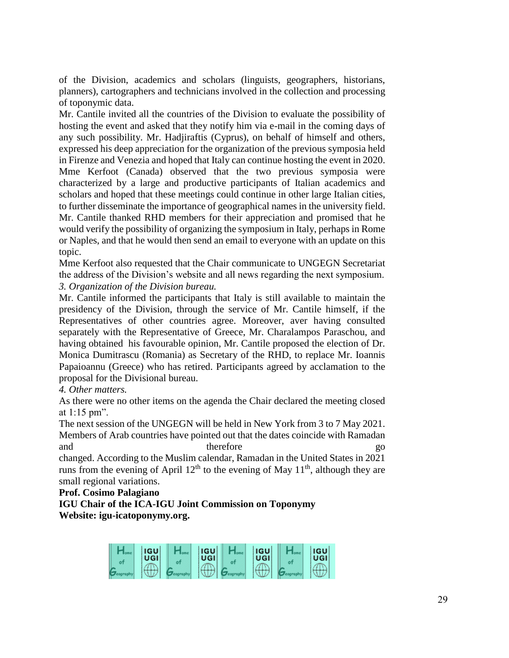of the Division, academics and scholars (linguists, geographers, historians, planners), cartographers and technicians involved in the collection and processing of toponymic data.

Mr. Cantile invited all the countries of the Division to evaluate the possibility of hosting the event and asked that they notify him via e-mail in the coming days of any such possibility. Mr. Hadjiraftis (Cyprus), on behalf of himself and others, expressed his deep appreciation for the organization of the previous symposia held in Firenze and Venezia and hoped that Italy can continue hosting the event in 2020. Mme Kerfoot (Canada) observed that the two previous symposia were characterized by a large and productive participants of Italian academics and scholars and hoped that these meetings could continue in other large Italian cities, to further disseminate the importance of geographical names in the university field. Mr. Cantile thanked RHD members for their appreciation and promised that he would verify the possibility of organizing the symposium in Italy, perhaps in Rome or Naples, and that he would then send an email to everyone with an update on this topic.

Mme Kerfoot also requested that the Chair communicate to UNGEGN Secretariat the address of the Division's website and all news regarding the next symposium. *3. Organization of the Division bureau.*

Mr. Cantile informed the participants that Italy is still available to maintain the presidency of the Division, through the service of Mr. Cantile himself, if the Representatives of other countries agree. Moreover, aver having consulted separately with the Representative of Greece, Mr. Charalampos Paraschou, and having obtained his favourable opinion, Mr. Cantile proposed the election of Dr. Monica Dumitrascu (Romania) as Secretary of the RHD, to replace Mr. Ioannis Papaioannu (Greece) who has retired. Participants agreed by acclamation to the proposal for the Divisional bureau.

*4. Other matters.*

As there were no other items on the agenda the Chair declared the meeting closed at 1:15 pm".

The next session of the UNGEGN will be held in New York from 3 to 7 May 2021. Members of Arab countries have pointed out that the dates coincide with Ramadan and therefore go

changed. According to the Muslim calendar, Ramadan in the United States in 2021 runs from the evening of April  $12<sup>th</sup>$  to the evening of May  $11<sup>th</sup>$ , although they are small regional variations.

## **Prof. Cosimo Palagiano**

**IGU Chair of the ICA-IGU Joint Commission on Toponymy Website: igu-icatoponymy.org.**

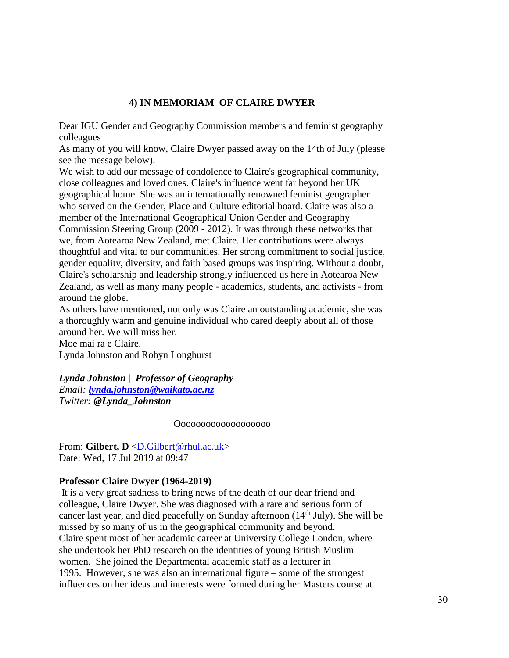## **4) IN MEMORIAM OF CLAIRE DWYER**

Dear IGU Gender and Geography Commission members and feminist geography colleagues

As many of you will know, Claire Dwyer passed away on the 14th of July (please see the message below).

We wish to add our message of condolence to Claire's geographical community, close colleagues and loved ones. Claire's influence went far beyond her UK geographical home. She was an internationally renowned feminist geographer who served on the Gender, Place and Culture editorial board. Claire was also a member of the International Geographical Union Gender and Geography Commission Steering Group (2009 - 2012). It was through these networks that we, from Aotearoa New Zealand, met Claire. Her contributions were always thoughtful and vital to our communities. Her strong commitment to social justice, gender equality, diversity, and faith based groups was inspiring. Without a doubt, Claire's scholarship and leadership strongly influenced us here in Aotearoa New Zealand, as well as many many people - academics, students, and activists - from around the globe.

As others have mentioned, not only was Claire an outstanding academic, she was a thoroughly warm and genuine individual who cared deeply about all of those around her. We will miss her.

Moe mai ra e Claire. Lynda Johnston and Robyn Longhurst

*Lynda Johnston | Professor of Geography Email: [lynda.johnston@waikato.ac.nz](mailto:lynda.johnston@waikato.ac.nz) Twitter: @Lynda\_Johnston*

Ooooooooooooooooooo

From: **Gilbert, D** [<D.Gilbert@rhul.ac.uk>](mailto:D.Gilbert@rhul.ac.uk) Date: Wed, 17 Jul 2019 at 09:47

## **Professor Claire Dwyer (1964-2019)**

It is a very great sadness to bring news of the death of our dear friend and colleague, Claire Dwyer. She was diagnosed with a rare and serious form of cancer last year, and died peacefully on Sunday afternoon  $(14<sup>th</sup>$  July). She will be missed by so many of us in the geographical community and beyond. Claire spent most of her academic career at University College London, where she undertook her PhD research on the identities of young British Muslim women. She joined the Departmental academic staff as a lecturer in 1995. However, she was also an international figure – some of the strongest influences on her ideas and interests were formed during her Masters course at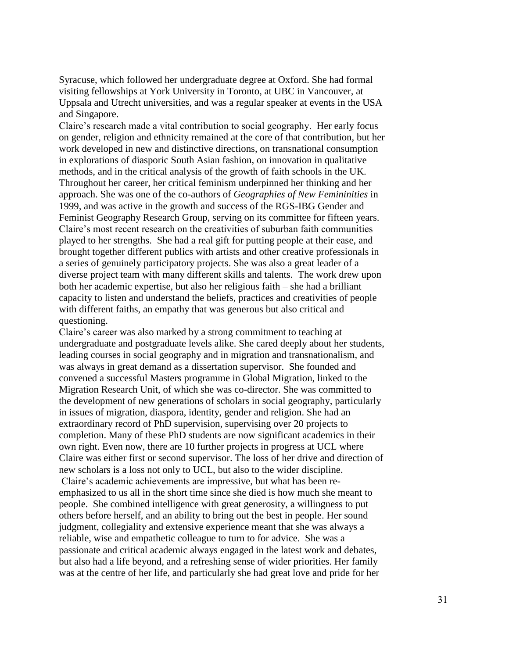Syracuse, which followed her undergraduate degree at Oxford. She had formal visiting fellowships at York University in Toronto, at UBC in Vancouver, at Uppsala and Utrecht universities, and was a regular speaker at events in the USA and Singapore.

Claire's research made a vital contribution to social geography. Her early focus on gender, religion and ethnicity remained at the core of that contribution, but her work developed in new and distinctive directions, on transnational consumption in explorations of diasporic South Asian fashion, on innovation in qualitative methods, and in the critical analysis of the growth of faith schools in the UK. Throughout her career, her critical feminism underpinned her thinking and her approach. She was one of the co-authors of *Geographies of New Femininities* in 1999, and was active in the growth and success of the RGS-IBG Gender and Feminist Geography Research Group, serving on its committee for fifteen years. Claire's most recent research on the creativities of suburban faith communities played to her strengths. She had a real gift for putting people at their ease, and brought together different publics with artists and other creative professionals in a series of genuinely participatory projects. She was also a great leader of a diverse project team with many different skills and talents. The work drew upon both her academic expertise, but also her religious faith – she had a brilliant capacity to listen and understand the beliefs, practices and creativities of people with different faiths, an empathy that was generous but also critical and questioning.

Claire's career was also marked by a strong commitment to teaching at undergraduate and postgraduate levels alike. She cared deeply about her students, leading courses in social geography and in migration and transnationalism, and was always in great demand as a dissertation supervisor. She founded and convened a successful Masters programme in Global Migration, linked to the Migration Research Unit, of which she was co-director. She was committed to the development of new generations of scholars in social geography, particularly in issues of migration, diaspora, identity, gender and religion. She had an extraordinary record of PhD supervision, supervising over 20 projects to completion. Many of these PhD students are now significant academics in their own right. Even now, there are 10 further projects in progress at UCL where Claire was either first or second supervisor. The loss of her drive and direction of new scholars is a loss not only to UCL, but also to the wider discipline. Claire's academic achievements are impressive, but what has been reemphasized to us all in the short time since she died is how much she meant to people. She combined intelligence with great generosity, a willingness to put others before herself, and an ability to bring out the best in people. Her sound judgment, collegiality and extensive experience meant that she was always a reliable, wise and empathetic colleague to turn to for advice. She was a passionate and critical academic always engaged in the latest work and debates, but also had a life beyond, and a refreshing sense of wider priorities. Her family was at the centre of her life, and particularly she had great love and pride for her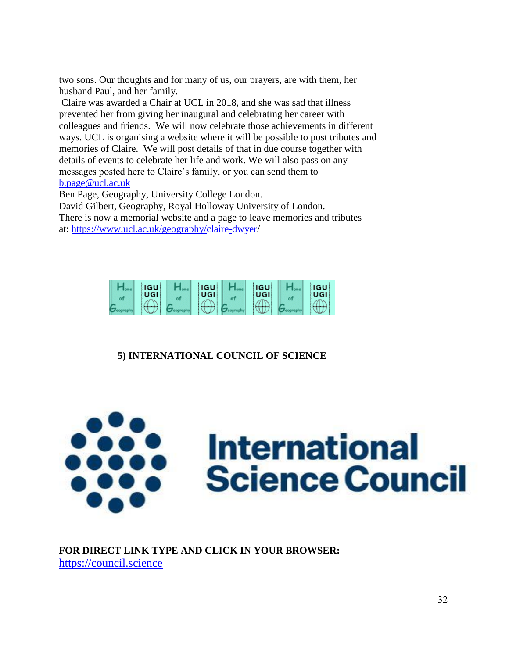two sons. Our thoughts and for many of us, our prayers, are with them, her husband Paul, and her family.

Claire was awarded a Chair at UCL in 2018, and she was sad that illness prevented her from giving her inaugural and celebrating her career with colleagues and friends. We will now celebrate those achievements in different ways. UCL is organising a website where it will be possible to post tributes and memories of Claire. We will post details of that in due course together with details of events to celebrate her life and work. We will also pass on any messages posted here to Claire's family, or you can send them to [b.page@ucl.ac.uk](mailto:b.page@ucl.ac.uk)

Ben Page, Geography, University College London.

David Gilbert, Geography, Royal Holloway University of London. There is now a memorial website and a page to leave memories and tributes at: [https://www.ucl.ac.uk/geography/claire-dwyer/](https://www.ucl.ac.uk/geography/claire-dwyer)



## **5) INTERNATIONAL COUNCIL OF SCIENCE**



## **FOR DIRECT LINK TYPE AND CLICK IN YOUR BROWSER:** [https://council.science](https://council.science/)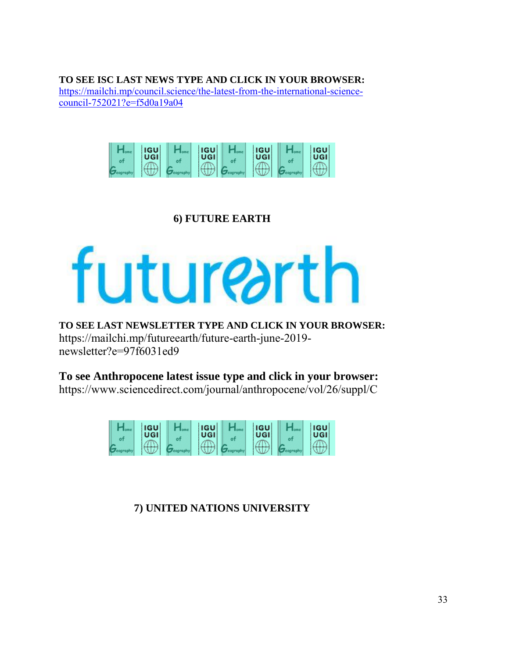**TO SEE ISC LAST NEWS TYPE AND CLICK IN YOUR BROWSER:** [https://mailchi.mp/council.science/the-latest-from-the-international-science](https://mailchi.mp/council.science/the-latest-from-the-international-science-council-752021?e=f5d0a19a04)[council-752021?e=f5d0a19a04](https://mailchi.mp/council.science/the-latest-from-the-international-science-council-752021?e=f5d0a19a04)



# **6) FUTURE EARTH**

# futurearth

**TO SEE LAST NEWSLETTER TYPE AND CLICK IN YOUR BROWSER:** https://mailchi.mp/futureearth/future-earth-june-2019 newsletter?e=97f6031ed9

**To see Anthropocene latest issue type and click in your browser:** https://www.sciencedirect.com/journal/anthropocene/vol/26/suppl/C



**7) UNITED NATIONS UNIVERSITY**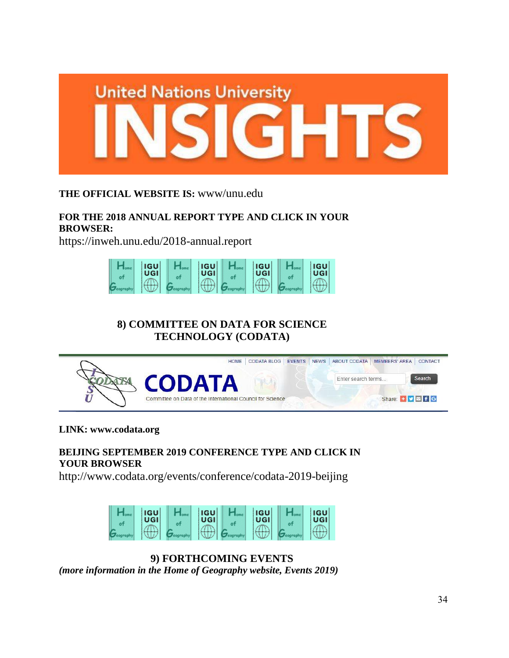

## **THE OFFICIAL WEBSITE IS:** www/unu.edu

# **FOR THE 2018 ANNUAL REPORT TYPE AND CLICK IN YOUR BROWSER:**

https://inweh.unu.edu/2018-annual.report



# **8) COMMITTEE ON DATA FOR SCIENCE TECHNOLOGY (CODATA)**



#### **LINK: www.codata.org**

## **BEIJING SEPTEMBER 2019 CONFERENCE TYPE AND CLICK IN YOUR BROWSER**

http://www.codata.org/events/conference/codata-2019-beijing



**9) FORTHCOMING EVENTS**

*(more information in the Home of Geography website, Events 2019)*